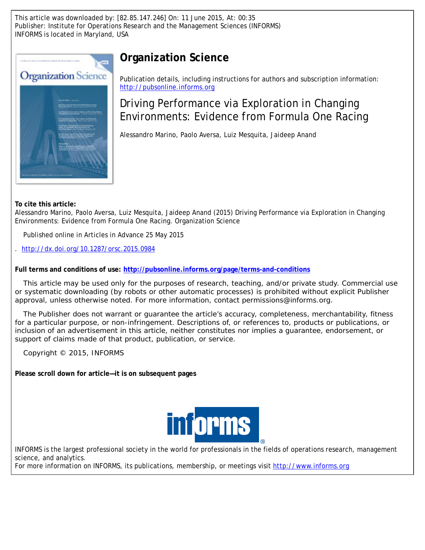This article was downloaded by: [82.85.147.246] On: 11 June 2015, At: 00:35 Publisher: Institute for Operations Research and the Management Sciences (INFORMS) INFORMS is located in Maryland, USA



# **Organization Science**

Publication details, including instructions for authors and subscription information: <http://pubsonline.informs.org>

# Driving Performance via Exploration in Changing Environments: Evidence from Formula One Racing

Alessandro Marino, Paolo Aversa, Luiz Mesquita, Jaideep Anand

**To cite this article:**

Alessandro Marino, Paolo Aversa, Luiz Mesquita, Jaideep Anand (2015) Driving Performance via Exploration in Changing Environments: Evidence from Formula One Racing. Organization Science

Published online in Articles in Advance 25 May 2015

. <http://dx.doi.org/10.1287/orsc.2015.0984>

**Full terms and conditions of use: <http://pubsonline.informs.org/page/terms-and-conditions>**

This article may be used only for the purposes of research, teaching, and/or private study. Commercial use or systematic downloading (by robots or other automatic processes) is prohibited without explicit Publisher approval, unless otherwise noted. For more information, contact permissions@informs.org.

The Publisher does not warrant or guarantee the article's accuracy, completeness, merchantability, fitness for a particular purpose, or non-infringement. Descriptions of, or references to, products or publications, or inclusion of an advertisement in this article, neither constitutes nor implies a guarantee, endorsement, or support of claims made of that product, publication, or service.

Copyright © 2015, INFORMS

**Please scroll down for article—it is on subsequent pages**



INFORMS is the largest professional society in the world for professionals in the fields of operations research, management science, and analytics.

For more information on INFORMS, its publications, membership, or meetings visit <http://www.informs.org>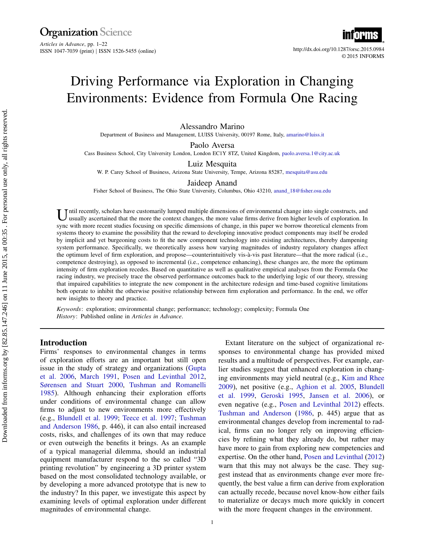**Organization**<br>Articles in Advance, pp. 1–22 ISSN 1047-7039 (print) ISSN 1526-5455 (online) http://dx.doi.org/10.1287/orsc.2015.0984



# Driving Performance via Exploration in Changing Environments: Evidence from Formula One Racing

Alessandro Marino

Department of Business and Management, LUISS University, 00197 Rome, Italy, [amarino@luiss.it](mailto:amarino@luiss.it)

Paolo Aversa

Cass Business School, City University London, London EC1Y 8TZ, United Kingdom, [paolo.aversa.1@city.ac.uk](mailto:paolo.aversa.1@city.ac.uk)

Luiz Mesquita

W. P. Carey School of Business, Arizona State University, Tempe, Arizona 85287, [mesquita@asu.edu](mailto:mesquita@asu.edu)

#### Jaideep Anand

Fisher School of Business, The Ohio State University, Columbus, Ohio 43210, [anand\\_18@fisher.osu.edu](mailto:anand_18@fisher.osu.edu)

U ntil recently, scholars have customarily lumped multiple dimensions of environmental change into single constructs, and usually ascertained that the more the context changes, the more value firms derive from higher level ntil recently, scholars have customarily lumped multiple dimensions of environmental change into single constructs, and sync with more recent studies focusing on specific dimensions of change, in this paper we borrow theoretical elements from systems theory to examine the possibility that the reward to developing innovative product components may itself be eroded by implicit and yet burgeoning costs to fit the new component technology into existing architectures, thereby dampening system performance. Specifically, we theoretically assess how varying magnitudes of industry regulatory changes affect the optimum level of firm exploration, and propose—counterintuitively vis-à-vis past literature—that the more radical (i.e., competence destroying), as opposed to incremental (i.e., competence enhancing), these changes are, the more the optimum intensity of firm exploration recedes. Based on quantitative as well as qualitative empirical analyses from the Formula One racing industry, we precisely trace the observed performance outcomes back to the underlying logic of our theory, stressing that impaired capabilities to integrate the new component in the architecture redesign and time-based cognitive limitations both operate to inhibit the otherwise positive relationship between firm exploration and performance. In the end, we offer new insights to theory and practice.

Keywords: exploration; environmental change; performance; technology; complexity; Formula One History: Published online in Articles in Advance.

## Introduction

Firms' responses to environmental changes in terms of exploration efforts are an important but still open issue in the study of strategy and organizations [\(Gupta](#page-20-0) [et al.](#page-20-0) [2006,](#page-20-0) [March](#page-21-0) [1991,](#page-21-0) [Posen and Levinthal](#page-21-1) [2012,](#page-21-1) [Sørensen and Stuart](#page-21-2) [2000,](#page-21-2) [Tushman and Romanelli](#page-21-3) [1985\)](#page-21-3). Although enhancing their exploration efforts under conditions of environmental change can allow firms to adjust to new environments more effectively (e.g., [Blundell et al.](#page-19-0) [1999;](#page-19-0) [Teece et al.](#page-21-4) [1997;](#page-21-4) [Tushman](#page-21-5) [and Anderson](#page-21-5) [1986,](#page-21-5) p. 446), it can also entail increased costs, risks, and challenges of its own that may reduce or even outweigh the benefits it brings. As an example of a typical managerial dilemma, should an industrial equipment manufacturer respond to the so called "3D printing revolution" by engineering a 3D printer system based on the most consolidated technology available, or by developing a more advanced prototype that is new to the industry? In this paper, we investigate this aspect by examining levels of optimal exploration under different magnitudes of environmental change.

Extant literature on the subject of organizational responses to environmental change has provided mixed results and a multitude of perspectives. For example, earlier studies suggest that enhanced exploration in changing environments may yield neutral (e.g., [Kim and Rhee](#page-20-1) [2009\)](#page-20-1), net positive (e.g., [Aghion et al.](#page-19-1) [2005,](#page-19-1) [Blundell](#page-19-0) [et al.](#page-19-0) [1999,](#page-19-0) [Geroski](#page-20-2) [1995,](#page-20-2) [Jansen et al.](#page-20-3) [2006\)](#page-20-3), or even negative (e.g., [Posen and Levinthal](#page-21-1) [2012\)](#page-21-1) effects. [Tushman and Anderson](#page-21-5) [\(1986,](#page-21-5) p. 445) argue that as environmental changes develop from incremental to radical, firms can no longer rely on improving efficiencies by refining what they already do, but rather may have more to gain from exploring new competencies and expertise. On the other hand, [Posen and Levinthal](#page-21-1) [\(2012\)](#page-21-1) warn that this may not always be the case. They suggest instead that as environments change ever more frequently, the best value a firm can derive from exploration can actually recede, because novel know-how either fails to materialize or decays much more quickly in concert with the more frequent changes in the environment.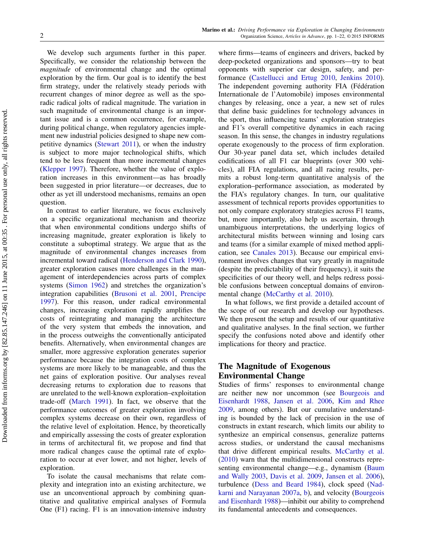We develop such arguments further in this paper. Specifically, we consider the relationship between the magnitude of environmental change and the optimal exploration by the firm. Our goal is to identify the best firm strategy, under the relatively steady periods with recurrent changes of minor degree as well as the sporadic radical jolts of radical magnitude. The variation in such magnitude of environmental change is an important issue and is a common occurrence, for example, during political change, when regulatory agencies implement new industrial policies designed to shape new competitive dynamics [\(Stewart](#page-21-6) [2011\)](#page-21-6), or when the industry is subject to more major technological shifts, which tend to be less frequent than more incremental changes [\(Klepper](#page-20-4) [1997\)](#page-20-4). Therefore, whether the value of exploration increases in this environment—as has broadly been suggested in prior literature—or decreases, due to other as yet ill understood mechanisms, remains an open question.

In contrast to earlier literature, we focus exclusively on a specific organizational mechanism and theorize that when environmental conditions undergo shifts of increasing magnitude, greater exploration is likely to constitute a suboptimal strategy. We argue that as the magnitude of environmental changes increases from incremental toward radical [\(Henderson and Clark](#page-20-5) [1990\)](#page-20-5), greater exploration causes more challenges in the management of interdependencies across parts of complex systems [\(Simon](#page-21-7) [1962\)](#page-21-7) and stretches the organization's integration capabilities [\(Brusoni et al.](#page-20-6) [2001,](#page-20-6) [Prencipe](#page-21-8) [1997\)](#page-21-8). For this reason, under radical environmental changes, increasing exploration rapidly amplifies the costs of reintegrating and managing the architecture of the very system that embeds the innovation, and in the process outweighs the conventionally anticipated benefits. Alternatively, when environmental changes are smaller, more aggressive exploration generates superior performance because the integration costs of complex systems are more likely to be manageable, and thus the net gains of exploration positive. Our analyses reveal decreasing returns to exploration due to reasons that are unrelated to the well-known exploration–exploitation trade-off [\(March](#page-21-0) [1991\)](#page-21-0). In fact, we observe that the performance outcomes of greater exploration involving complex systems decrease on their own, regardless of the relative level of exploitation. Hence, by theoretically and empirically assessing the costs of greater exploration in terms of architectural fit, we propose and find that more radical changes cause the optimal rate of exploration to occur at ever lower, and not higher, levels of exploration.

To isolate the causal mechanisms that relate complexity and integration into an existing architecture, we use an unconventional approach by combining quantitative and qualitative empirical analyses of Formula One (F1) racing. F1 is an innovation-intensive industry

where firms—teams of engineers and drivers, backed by deep-pocketed organizations and sponsors—try to beat opponents with superior car design, safety, and performance [\(Castellucci and Ertug](#page-20-7) [2010,](#page-20-7) [Jenkins](#page-20-8) [2010\)](#page-20-8). The independent governing authority FIA (Fédération Internationale de l'Automobile) imposes environmental changes by releasing, once a year, a new set of rules that define basic guidelines for technology advances in the sport, thus influencing teams' exploration strategies and F1's overall competitive dynamics in each racing season. In this sense, the changes in industry regulations operate exogenously to the process of firm exploration. Our 30-year panel data set, which includes detailed codifications of all F1 car blueprints (over 300 vehicles), all FIA regulations, and all racing results, permits a robust long-term quantitative analysis of the exploration–performance association, as moderated by the FIA's regulatory changes. In turn, our qualitative assessment of technical reports provides opportunities to not only compare exploratory strategies across F1 teams, but, more importantly, also help us ascertain, through unambiguous interpretations, the underlying logics of architectural misfits between winning and losing cars and teams (for a similar example of mixed method application, see [Canales](#page-20-9) [2013\)](#page-20-9). Because our empirical environment involves changes that vary greatly in magnitude (despite the predictability of their frequency), it suits the specificities of our theory well, and helps redress possible confusions between conceptual domains of environmental change [\(McCarthy et al.](#page-21-9) [2010\)](#page-21-9).

In what follows, we first provide a detailed account of the scope of our research and develop our hypotheses. We then present the setup and results of our quantitative and qualitative analyses. In the final section, we further specify the confusions noted above and identify other implications for theory and practice.

# The Magnitude of Exogenous Environmental Change

Studies of firms' responses to environmental change are neither new nor uncommon (see [Bourgeois and](#page-19-2) [Eisenhardt](#page-19-2) [1988,](#page-19-2) [Jansen et al.](#page-20-3) [2006,](#page-20-3) [Kim and Rhee](#page-20-1) [2009,](#page-20-1) among others). But our cumulative understanding is bounded by the lack of precision in the use of constructs in extant research, which limits our ability to synthesize an empirical consensus, generalize patterns across studies, or understand the causal mechanisms that drive different empirical results. [McCarthy et al.](#page-21-9) [\(2010\)](#page-21-9) warn that the multidimensional constructs representing environmental change—e.g., dynamism [\(Baum](#page-19-3) [and Wally](#page-19-3) [2003,](#page-19-3) [Davis et al.](#page-20-10) [2009,](#page-20-10) [Jansen et al.](#page-20-3) [2006\)](#page-20-3), turbulence [\(Dess and Beard](#page-20-11) [1984\)](#page-20-11), clock speed [\(Nad](#page-21-10)[karni and Narayanan](#page-21-10) [2007a,](#page-21-10) [b\)](#page-21-11), and velocity [\(Bourgeois](#page-19-2) [and Eisenhardt](#page-19-2) [1988\)](#page-19-2)—inhibit our ability to comprehend its fundamental antecedents and consequences.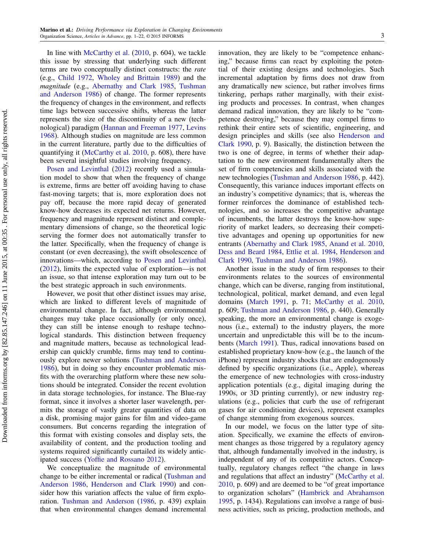In line with [McCarthy et al.](#page-21-9) [\(2010,](#page-21-9) p. 604), we tackle this issue by stressing that underlying such different terms are two conceptually distinct constructs: the rate (e.g., [Child](#page-20-12) [1972,](#page-20-12) [Wholey and Brittain](#page-21-12) [1989\)](#page-21-12) and the magnitude (e.g., [Abernathy and Clark](#page-19-4) [1985,](#page-19-4) [Tushman](#page-21-5) [and Anderson](#page-21-5) [1986\)](#page-21-5) of change. The former represents the frequency of changes in the environment, and reflects time lags between successive shifts, whereas the latter represents the size of the discontinuity of a new (technological) paradigm [\(Hannan and Freeman](#page-20-13) [1977,](#page-20-13) [Levins](#page-20-14) [1968\)](#page-20-14). Although studies on magnitude are less common in the current literature, partly due to the difficulties of quantifying it [\(McCarthy et al.](#page-21-9) [2010,](#page-21-9) p. 608), there have been several insightful studies involving frequency.

[Posen and Levinthal](#page-21-1) [\(2012\)](#page-21-1) recently used a simulation model to show that when the frequency of change is extreme, firms are better off avoiding having to chase fast-moving targets; that is, more exploration does not pay off, because the more rapid decay of generated know-how decreases its expected net returns. However, frequency and magnitude represent distinct and complementary dimensions of change, so the theoretical logic serving the former does not automatically transfer to the latter. Specifically, when the frequency of change is constant (or even decreasing), the swift obsolescence of innovations—which, according to [Posen and Levinthal](#page-21-1) [\(2012\)](#page-21-1), limits the expected value of exploration—is not an issue, so that intense exploration may turn out to be the best strategic approach in such environments.

However, we posit that other distinct issues may arise, which are linked to different levels of magnitude of environmental change. In fact, although environmental changes may take place occasionally (or only once), they can still be intense enough to reshape technological standards. This distinction between frequency and magnitude matters, because as technological leadership can quickly crumble, firms may tend to continuously explore newer solutions [\(Tushman and Anderson](#page-21-5) [1986\)](#page-21-5), but in doing so they encounter problematic misfits with the overarching platform where these new solutions should be integrated. Consider the recent evolution in data storage technologies, for instance. The Blue-ray format, since it involves a shorter laser wavelength, permits the storage of vastly greater quantities of data on a disk, promising major gains for film and video-game consumers. But concerns regarding the integration of this format with existing consoles and display sets, the availability of content, and the production tooling and systems required significantly curtailed its widely anticipated success [\(Yoffie and Rossano](#page-21-13) [2012\)](#page-21-13).

We conceptualize the magnitude of environmental change to be either incremental or radical [\(Tushman and](#page-21-5) [Anderson](#page-21-5) [1986,](#page-21-5) [Henderson and Clark](#page-20-5) [1990\)](#page-20-5) and consider how this variation affects the value of firm exploration. [Tushman and Anderson](#page-21-5) [\(1986,](#page-21-5) p. 439) explain that when environmental changes demand incremental

innovation, they are likely to be "competence enhancing," because firms can react by exploiting the potential of their existing designs and technologies. Such incremental adaptation by firms does not draw from any dramatically new science, but rather involves firms tinkering, perhaps rather marginally, with their existing products and processes. In contrast, when changes demand radical innovation, they are likely to be "competence destroying," because they may compel firms to rethink their entire sets of scientific, engineering, and design principles and skills (see also [Henderson and](#page-20-5) [Clark](#page-20-5) [1990,](#page-20-5) p. 9). Basically, the distinction between the two is one of degree, in terms of whether their adaptation to the new environment fundamentally alters the set of firm competencies and skills associated with the new technologies [\(Tushman and Anderson](#page-21-5) [1986,](#page-21-5) p. 442). Consequently, this variance induces important effects on an industry's competitive dynamics; that is, whereas the former reinforces the dominance of established technologies, and so increases the competitive advantage of incumbents, the latter destroys the know-how superiority of market leaders, so decreasing their competitive advantages and opening up opportunities for new entrants [\(Abernathy and Clark](#page-19-4) [1985,](#page-19-4) [Anand et al.](#page-19-5) [2010,](#page-19-5) [Dess and Beard](#page-20-11) [1984,](#page-20-11) [Ettlie et al.](#page-20-15) [1984,](#page-20-15) [Henderson and](#page-20-5) [Clark](#page-20-5) [1990,](#page-20-5) [Tushman and Anderson](#page-21-5) [1986\)](#page-21-5).

Another issue in the study of firm responses to their environments relates to the sources of environmental change, which can be diverse, ranging from institutional, technological, political, market demand, and even legal domains [\(March](#page-21-0) [1991,](#page-21-0) p. 71; [McCarthy et al.](#page-21-9) [2010,](#page-21-9) p. 609; [Tushman and Anderson](#page-21-5) [1986,](#page-21-5) p. 440). Generally speaking, the more an environmental change is exogenous (i.e., external) to the industry players, the more uncertain and unpredictable this will be to the incumbents [\(March](#page-21-0) [1991\)](#page-21-0). Thus, radical innovations based on established proprietary know-how (e.g., the launch of the iPhone) represent industry shocks that are endogenously defined by specific organizations (i.e., Apple), whereas the emergence of new technologies with cross-industry application potentials (e.g., digital imaging during the 1990s, or 3D printing currently), or new industry regulations (e.g., policies that curb the use of refrigerant gases for air conditioning devices), represent examples of change stemming from exogenous sources.

In our model, we focus on the latter type of situation. Specifically, we examine the effects of environment changes as those triggered by a regulatory agency that, although fundamentally involved in the industry, is independent of any of its competitive actors. Conceptually, regulatory changes reflect "the change in laws and regulations that affect an industry" [\(McCarthy et al.](#page-21-9) [2010,](#page-21-9) p. 609) and are deemed to be "of great importance to organization scholars" [\(Hambrick and Abrahamson](#page-20-16) [1995,](#page-20-16) p. 1434). Regulations can involve a range of business activities, such as pricing, production methods, and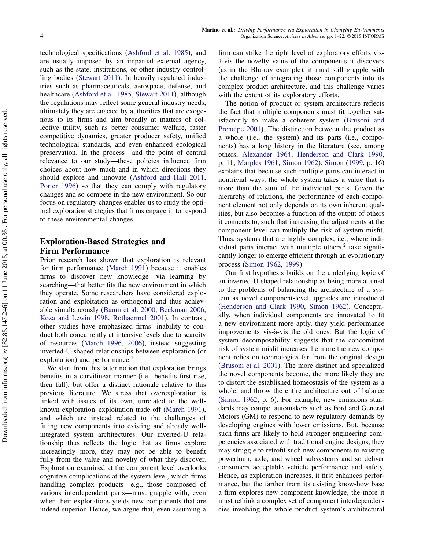technological specifications [\(Ashford et al.](#page-19-6) [1985\)](#page-19-6), and are usually imposed by an impartial external agency, such as the state, institutions, or other industry controlling bodies [\(Stewart](#page-21-6) [2011\)](#page-21-6). In heavily regulated industries such as pharmaceuticals, aerospace, defense, and healthcare [\(Ashford et al.](#page-19-6) [1985,](#page-19-6) [Stewart](#page-21-6) [2011\)](#page-21-6), although the regulations may reflect some general industry needs, ultimately they are enacted by authorities that are exogenous to its firms and aim broadly at matters of collective utility, such as better consumer welfare, faster competitive dynamics, greater producer safety, unified technological standards, and even enhanced ecological preservation. In the process—and the point of central relevance to our study—these policies influence firm choices about how much and in which directions they should explore and innovate [\(Ashford and Hall](#page-19-7) [2011,](#page-19-7) [Porter](#page-21-14) [1996\)](#page-21-14) so that they can comply with regulatory changes and so compete in the new environment. So our focus on regulatory changes enables us to study the optimal exploration strategies that firms engage in to respond to these environmental changes.

## Exploration-Based Strategies and Firm Performance

Prior research has shown that exploration is relevant for firm performance [\(March](#page-21-0) [1991\)](#page-21-0) because it enables firms to discover new knowledge—via learning by searching—that better fits the new environment in which they operate. Some researchers have considered exploration and exploitation as orthogonal and thus achievable simultaneously [\(Baum et al.](#page-19-8) [2000,](#page-19-8) [Beckman](#page-19-9) [2006,](#page-19-9) [Koza and Lewin](#page-20-17) [1998,](#page-20-17) [Rothaermel](#page-21-15) [2001\)](#page-21-15). In contrast, other studies have emphasized firms' inability to conduct both concurrently at intensive levels due to scarcity of resources [\(March](#page-21-16) [1996,](#page-21-16) [2006\)](#page-21-17), instead suggesting inverted-U-shaped relationships between exploration (or exploitation) and performance.<sup>1</sup>

We start from this latter notion that exploration brings benefits in a curvilinear manner (i.e., benefits first rise, then fall), but offer a distinct rationale relative to this previous literature. We stress that overexploration is linked with issues of its own, unrelated to the wellknown exploration–exploitation trade-off [\(March](#page-21-0) [1991\)](#page-21-0), and which are instead related to the challenges of fitting new components into existing and already wellintegrated system architectures. Our inverted-U relationship thus reflects the logic that as firms explore increasingly more, they may not be able to benefit fully from the value and novelty of what they discover. Exploration examined at the component level overlooks cognitive complications at the system level, which firms handling complex products—e.g., those composed of various interdependent parts—must grapple with, even when their explorations yields new components that are indeed superior. Hence, we argue that, even assuming a firm can strike the right level of exploratory efforts visà-vis the novelty value of the components it discovers (as in the Blu-ray example), it must still grapple with the challenge of integrating those components into its complex product architecture, and this challenge varies with the extent of its exploratory efforts.

The notion of product or system architecture reflects the fact that multiple components must fit together satisfactorily to make a coherent system [\(Brusoni and](#page-20-18) [Prencipe](#page-20-18) [2001\)](#page-20-18). The distinction between the product as a whole (i.e., the system) and its parts (i.e., components) has a long history in the literature (see, among others, [Alexander](#page-19-10) [1964;](#page-19-10) [Henderson and Clark](#page-20-5) [1990,](#page-20-5) p. 11; [Marples](#page-21-18) [1961;](#page-21-18) [Simon](#page-21-7) [1962\)](#page-21-7). [Simon](#page-21-19) [\(1999,](#page-21-19) p. 16) explains that because such multiple parts can interact in nontrivial ways, the whole system takes a value that is more than the sum of the individual parts. Given the hierarchy of relations, the performance of each component element not only depends on its own inherent qualities, but also becomes a function of the output of others it connects to, such that increasing the adjustments at the component level can multiply the risk of system misfit. Thus, systems that are highly complex, i.e., where individual parts interact with multiple others, $2$  take significantly longer to emerge efficient through an evolutionary process [\(Simon](#page-21-7) [1962,](#page-21-7) [1999\)](#page-21-19).

Our first hypothesis builds on the underlying logic of an inverted-U-shaped relationship as being more attuned to the problems of balancing the architecture of a system as novel component-level upgrades are introduced [\(Henderson and Clark](#page-20-5) [1990,](#page-20-5) [Simon](#page-21-7) [1962\)](#page-21-7). Conceptually, when individual components are innovated to fit a new environment more aptly, they yield performance improvements vis-à-vis the old ones. But the logic of system decomposability suggests that the concomitant risk of system misfit increases the more the new component relies on technologies far from the original design [\(Brusoni et al.](#page-20-6) [2001\)](#page-20-6). The more distinct and specialized the novel components become, the more likely they are to distort the established homeostasis of the system as a whole, and throw the entire architecture out of balance [\(Simon](#page-21-7) [1962,](#page-21-7) p. 6). For example, new emissions standards may compel automakers such as Ford and General Motors (GM) to respond to new regulatory demands by developing engines with lower emissions. But, because such firms are likely to hold stronger engineering competencies associated with traditional engine designs, they may struggle to retrofit such new components to existing powertrain, axle, and wheel subsystems and so deliver consumers acceptable vehicle performance and safety. Hence, as exploration increases, it first enhances performance, but the farther from its existing know-how base a firm explores new component knowledge, the more it must rethink a complex set of component interdependencies involving the whole product system's architectural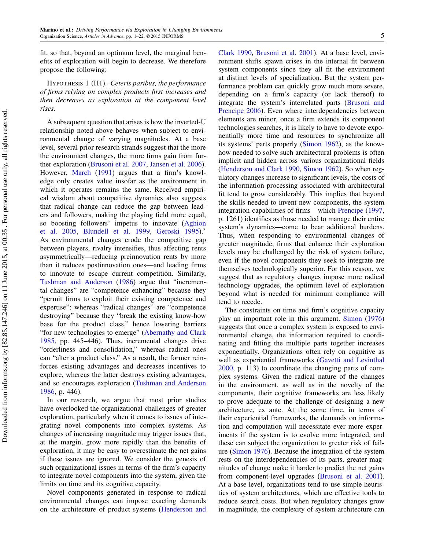fit, so that, beyond an optimum level, the marginal benefits of exploration will begin to decrease. We therefore propose the following:

<span id="page-5-0"></span>Hypothesis 1 (H1). Ceteris paribus, the performance of firms relying on complex products first increases and then decreases as exploration at the component level rises.

A subsequent question that arises is how the inverted-U relationship noted above behaves when subject to environmental change of varying magnitudes. At a base level, several prior research strands suggest that the more the environment changes, the more firms gain from further exploration [\(Brusoni et al.](#page-20-19) [2007,](#page-20-19) [Jansen et al.](#page-20-3) [2006\)](#page-20-3). However, [March](#page-21-0) [\(1991\)](#page-21-0) argues that a firm's knowledge only creates value insofar as the environment in which it operates remains the same. Received empirical wisdom about competitive dynamics also suggests that radical change can reduce the gap between leaders and followers, making the playing field more equal, so boosting followers' impetus to innovate [\(Aghion](#page-19-1) [et al.](#page-19-1) [2005,](#page-19-1) [Blundell et al.](#page-19-0) [1999,](#page-19-0) [Geroski](#page-20-2) [1995\)](#page-20-2).<sup>3</sup> As environmental changes erode the competitive gap between players, rivalry intensifies, thus affecting rents asymmetrically—reducing preinnovation rents by more than it reduces postinnovation ones—and leading firms to innovate to escape current competition. Similarly, [Tushman and Anderson](#page-21-5) [\(1986\)](#page-21-5) argue that "incremental changes" are "competence enhancing" because they "permit firms to exploit their existing competence and expertise"; whereas "radical changes" are "competence destroying" because they "break the existing know-how base for the product class," hence lowering barriers "for new technologies to emerge" [\(Abernathy and Clark](#page-19-4) [1985,](#page-19-4) pp. 445–446). Thus, incremental changes drive "orderliness and consolidation," whereas radical ones can "alter a product class." As a result, the former reinforces existing advantages and decreases incentives to explore, whereas the latter destroys existing advantages, and so encourages exploration [\(Tushman and Anderson](#page-21-5) [1986,](#page-21-5) p. 446).

In our research, we argue that most prior studies have overlooked the organizational challenges of greater exploration, particularly when it comes to issues of integrating novel components into complex systems. As changes of increasing magnitude may trigger issues that, at the margin, grow more rapidly than the benefits of exploration, it may be easy to overestimate the net gains if these issues are ignored. We consider the genesis of such organizational issues in terms of the firm's capacity to integrate novel components into the system, given the limits on time and its cognitive capacity.

Novel components generated in response to radical environmental changes can impose exacting demands on the architecture of product systems [\(Henderson and](#page-20-5) [Clark](#page-20-5) [1990,](#page-20-5) [Brusoni et al.](#page-20-6) [2001\)](#page-20-6). At a base level, environment shifts spawn crises in the internal fit between system components since they all fit the environment at distinct levels of specialization. But the system performance problem can quickly grow much more severe, depending on a firm's capacity (or lack thereof) to integrate the system's interrelated parts [\(Brusoni and](#page-20-20) [Prencipe](#page-20-20) [2006\)](#page-20-20). Even where interdependencies between elements are minor, once a firm extends its component technologies searches, it is likely to have to devote exponentially more time and resources to synchronize all its systems' parts properly [\(Simon](#page-21-7) [1962\)](#page-21-7), as the knowhow needed to solve such architectural problems is often implicit and hidden across various organizational fields [\(Henderson and Clark](#page-20-5) [1990,](#page-20-5) [Simon](#page-21-7) [1962\)](#page-21-7). So when regulatory changes increase to significant levels, the costs of the information processing associated with architectural fit tend to grow considerably. This implies that beyond the skills needed to invent new components, the system integration capabilities of firms—which [Prencipe](#page-21-8) [\(1997,](#page-21-8) p. 1261) identifies as those needed to manage their entire system's dynamics—come to bear additional burdens. Thus, when responding to environmental changes of greater magnitude, firms that enhance their exploration levels may be challenged by the risk of system failure, even if the novel components they seek to integrate are themselves technologically superior. For this reason, we suggest that as regulatory changes impose more radical technology upgrades, the optimum level of exploration beyond what is needed for minimum compliance will tend to recede.

The constraints on time and firm's cognitive capacity play an important role in this argument. [Simon](#page-21-20) [\(1976\)](#page-21-20) suggests that once a complex system is exposed to environmental change, the information required to coordinating and fitting the multiple parts together increases exponentially. Organizations often rely on cognitive as well as experiential frameworks [\(Gavetti and Levinthal](#page-20-21) [2000,](#page-20-21) p. 113) to coordinate the changing parts of complex systems. Given the radical nature of the changes in the environment, as well as in the novelty of the components, their cognitive frameworks are less likely to prove adequate to the challenge of designing a new architecture, ex ante. At the same time, in terms of their experiential frameworks, the demands on information and computation will necessitate ever more experiments if the system is to evolve more integrated, and these can subject the organization to greater risk of failure [\(Simon](#page-21-20) [1976\)](#page-21-20). Because the integration of the system rests on the interdependencies of its parts, greater magnitudes of change make it harder to predict the net gains from component-level upgrades [\(Brusoni et al.](#page-20-6) [2001\)](#page-20-6). At a base level, organizations tend to use simple heuristics of system architectures, which are effective tools to reduce search costs. But when regulatory changes grow in magnitude, the complexity of system architecture can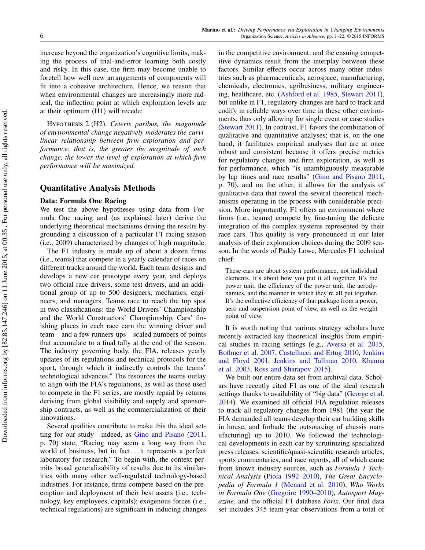increase beyond the organization's cognitive limits, making the process of trial-and-error learning both costly and risky. In this case, the firm may become unable to foretell how well new arrangements of components will fit into a cohesive architecture. Hence, we reason that when environmental changes are increasingly more radical, the inflection point at which exploration levels are at their optimum ([H1\)](#page-5-0) will recede:

<span id="page-6-0"></span>Hypothesis 2 (H2). Ceteris paribus, the magnitude of environmental change negatively moderates the curvilinear relationship between firm exploration and performance; that is, the greater the magnitude of such change, the lower the level of exploration at which firm performance will be maximized.

## Quantitative Analysis Methods

#### Data: Formula One Racing

We test the above hypotheses using data from Formula One racing and (as explained later) derive the underlying theoretical mechanisms driving the results by grounding a discussion of a particular F1 racing season (i.e., 2009) characterized by changes of high magnitude.

The F1 industry is made up of about a dozen firms (i.e., teams) that compete in a yearly calendar of races on different tracks around the world. Each team designs and develops a new car prototype every year, and deploys two official race drivers, some test drivers, and an additional group of up to 500 designers, mechanics, engineers, and managers. Teams race to reach the top spot in two classifications: the World Drivers' Championship and the World Constructors' Championship. Cars' finishing places in each race earn the winning driver and team—and a few runners-ups—scaled numbers of points that accumulate to a final tally at the end of the season. The industry governing body, the FIA, releases yearly updates of its regulations and technical protocols for the sport, through which it indirectly controls the teams' technological advances.<sup>4</sup> The resources the teams outlay to align with the FIA's regulations, as well as those used to compete in the F1 series, are mostly repaid by returns deriving from global visibility and supply and sponsorship contracts, as well as the commercialization of their innovations.

Several qualities contribute to make this the ideal setting for our study—indeed, as [Gino and Pisano](#page-20-22) [\(2011,](#page-20-22) p. 70) state, "Racing may seem a long way from the world of business, but in fact... it represents a perfect laboratory for research." To begin with, the context permits broad generalizability of results due to its similarities with many other well-regulated technology-based industries. For instance, firms compete based on the preemption and deployment of their best assets (i.e., technology, key employees, capitals); exogenous forces (i.e., technical regulations) are significant in inducing changes in the competitive environment; and the ensuing competitive dynamics result from the interplay between these factors. Similar effects occur across many other industries such as pharmaceuticals, aerospace, manufacturing, chemicals, electronics, agribusiness, military engineering, healthcare, etc. [\(Ashford et al.](#page-19-6) [1985,](#page-19-6) [Stewart](#page-21-6) [2011\)](#page-21-6), but unlike in F1, regulatory changes are hard to track and codify in reliable ways over time in these other environments, thus only allowing for single event or case studies [\(Stewart](#page-21-6) [2011\)](#page-21-6). In contrast, F1 favors the combination of qualitative and quantitative analyses; that is, on the one hand, it facilitates empirical analyses that are at once robust and consistent because it offers precise metrics for regulatory changes and firm exploration, as well as for performance, which "is unambiguously measurable by lap times and race results" [\(Gino and Pisano](#page-20-22) [2011,](#page-20-22) p. 70), and on the other, it allows for the analysis of qualitative data that reveal the several theoretical mechanisms operating in the process with considerable precision. More importantly, F1 offers an environment where firms (i.e., teams) compete by fine-tuning the delicate integration of the complex systems represented by their race cars. This quality is very pronounced in our later analysis of their exploration choices during the 2009 season. In the words of Paddy Lowe, Mercedes F1 technical chief:

These cars are about system performance, not individual elements. It's about how you put it all together. It's the power unit, the efficiency of the power unit, the aerodynamics, and the manner in which they're all put together. It's the collective efficiency of that package from a power, aero and suspension point of view, as well as the weight point of view.

It is worth noting that various strategy scholars have recently extracted key theoretical insights from empirical studies in racing settings (e.g., [Aversa et al.](#page-19-11) [2015,](#page-19-11) [Bothner et al.](#page-19-12) [2007,](#page-19-12) [Castellucci and Ertug](#page-20-7) [2010,](#page-20-7) [Jenkins](#page-20-23) [and Floyd](#page-20-23) [2001,](#page-20-23) [Jenkins and Tallman](#page-20-24) [2010,](#page-20-24) [Khanna](#page-20-25) [et al.](#page-20-25) [2003,](#page-20-25) [Ross and Sharapov](#page-21-21) [2015\)](#page-21-21).

We built our entire data set from archival data. Scholars have recently cited F1 as one of the ideal research settings thanks to availability of "big data" [\(George et al.](#page-20-26) [2014\)](#page-20-26). We examined all official FIA regulation releases to track all regulatory changes from 1981 (the year the FIA demanded all teams develop their car building skills in house, and forbade the outsourcing of chassis manufacturing) up to 2010. We followed the technological developments in each car by scrutinizing specialized press releases, scientific/quasi-scientific research articles, sports commentaries, and race reports, all of which came from known industry sources, such as Formula 1 Technical Analysis [\(Piola](#page-21-22) [1992–2010\)](#page-21-22), The Great Encyclopedia of Formula 1 [\(Menard et al.](#page-21-23) [2010\)](#page-21-23), Who Works in Formula One [\(Gregoire](#page-20-27) [1990–2010\)](#page-20-27), Autosport Magazine, and the official F1 database Forix. Our final data set includes 345 team-year observations from a total of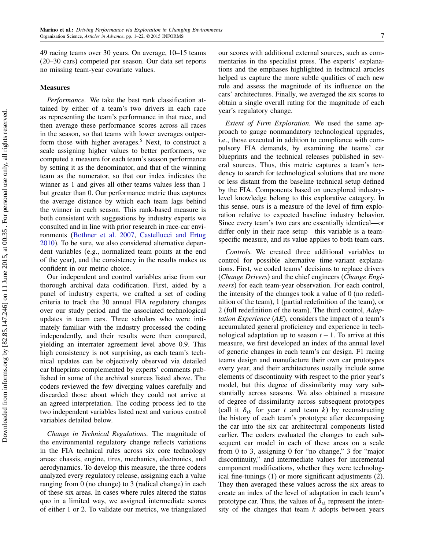49 racing teams over 30 years. On average, 10–15 teams (20–30 cars) competed per season. Our data set reports no missing team-year covariate values.

#### Measures

Performance. We take the best rank classification attained by either of a team's two drivers in each race as representing the team's performance in that race, and then average these performance scores across all races in the season, so that teams with lower averages outperform those with higher averages.<sup>5</sup> Next, to construct a scale assigning higher values to better performers, we computed a measure for each team's season performance by setting it as the denominator, and that of the winning team as the numerator, so that our index indicates the winner as 1 and gives all other teams values less than 1 but greater than 0. Our performance metric thus captures the average distance by which each team lags behind the winner in each season. This rank-based measure is both consistent with suggestions by industry experts we consulted and in line with prior research in race-car environments [\(Bothner et al.](#page-19-12) [2007,](#page-19-12) [Castellucci and Ertug](#page-20-7) [2010\)](#page-20-7). To be sure, we also considered alternative dependent variables (e.g., normalized team points at the end of the year), and the consistency in the results makes us confident in our metric choice.

Our independent and control variables arise from our thorough archival data codification. First, aided by a panel of industry experts, we crafted a set of coding criteria to track the 30 annual FIA regulatory changes over our study period and the associated technological updates in team cars. Three scholars who were intimately familiar with the industry processed the coding independently, and their results were then compared, yielding an interrater agreement level above 0.9. This high consistency is not surprising, as each team's technical updates can be objectively observed via detailed car blueprints complemented by experts' comments published in some of the archival sources listed above. The coders reviewed the few diverging values carefully and discarded those about which they could not arrive at an agreed interpretation. The coding process led to the two independent variables listed next and various control variables detailed below.

Change in Technical Regulations. The magnitude of the environmental regulatory change reflects variations in the FIA technical rules across six core technology areas: chassis, engine, tires, mechanics, electronics, and aerodynamics. To develop this measure, the three coders analyzed every regulatory release, assigning each a value ranging from 0 (no change) to 3 (radical change) in each of these six areas. In cases where rules altered the status quo in a limited way, we assigned intermediate scores of either 1 or 2. To validate our metrics, we triangulated our scores with additional external sources, such as commentaries in the specialist press. The experts' explanations and the emphases highlighted in technical articles helped us capture the more subtle qualities of each new rule and assess the magnitude of its influence on the cars' architectures. Finally, we averaged the six scores to obtain a single overall rating for the magnitude of each year's regulatory change.

Extent of Firm Exploration. We used the same approach to gauge nonmandatory technological upgrades, i.e., those executed in addition to compliance with compulsory FIA demands, by examining the teams' car blueprints and the technical releases published in several sources. Thus, this metric captures a team's tendency to search for technological solutions that are more or less distant from the baseline technical setup defined by the FIA. Components based on unexplored industrylevel knowledge belong to this explorative category. In this sense, ours is a measure of the level of firm exploration relative to expected baseline industry behavior. Since every team's two cars are essentially identical—or differ only in their race setup—this variable is a teamspecific measure, and its value applies to both team cars.

Controls. We created three additional variables to control for possible alternative time-variant explanations. First, we coded teams' decisions to replace drivers (Change Drivers) and the chief engineers (Change Engineers) for each team-year observation. For each control, the intensity of the changes took a value of 0 (no redefinition of the team), 1 (partial redefinition of the team), or 2 (full redefinition of the team). The third control, Adap*tation Experience*  $(AE)$ , considers the impact of a team's accumulated general proficiency and experience in technological adaptation up to season  $t - 1$ . To arrive at this measure, we first developed an index of the annual level of generic changes in each team's car design. F1 racing teams design and manufacture their own car prototypes every year, and their architectures usually include some elements of discontinuity with respect to the prior year's model, but this degree of dissimilarity may vary substantially across seasons. We also obtained a measure of degree of dissimilarity across subsequent prototypes (call it  $\delta_{tk}$  for year t and team k) by reconstructing the history of each team's prototype after decomposing the car into the six car architectural components listed earlier. The coders evaluated the changes to each subsequent car model in each of these areas on a scale from 0 to 3, assigning 0 for "no change," 3 for "major discontinuity," and intermediate values for incremental component modifications, whether they were technological fine-tunings (1) or more significant adjustments (2). They then averaged these values across the six areas to create an index of the level of adaptation in each team's prototype car. Thus, the values of  $\delta_{tk}$  represent the intensity of the changes that team  $k$  adopts between years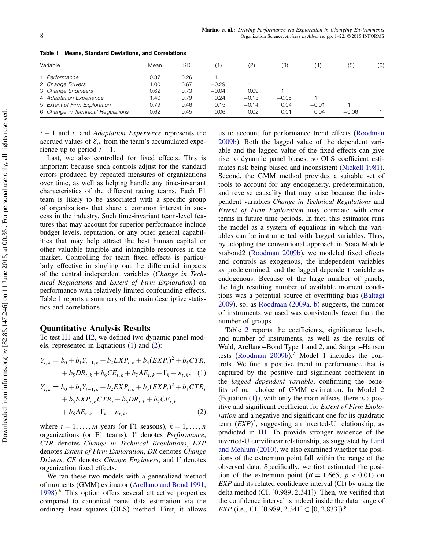| Variable                           | Mean | SD   | 1)      | (2)     | (3)     | (4)     | (5)     | (6) |
|------------------------------------|------|------|---------|---------|---------|---------|---------|-----|
|                                    |      |      |         |         |         |         |         |     |
| 1. Performance                     | 0.37 | 0.26 |         |         |         |         |         |     |
| 2. Change Drivers                  | 1.00 | 0.67 | $-0.29$ |         |         |         |         |     |
| 3. Change Engineers                | 0.62 | 0.73 | $-0.04$ | 0.09    |         |         |         |     |
| 4. Adaptation Experience           | 1.40 | 0.79 | 0.24    | $-0.13$ | $-0.05$ |         |         |     |
| 5. Extent of Firm Exploration      | 0.79 | 0.46 | 0.15    | $-0.14$ | 0.04    | $-0.01$ |         |     |
| 6. Change in Technical Regulations | 0.62 | 0.45 | 0.06    | 0.02    | 0.01    | 0.04    | $-0.06$ |     |

<span id="page-8-0"></span>Table 1 Means, Standard Deviations, and Correlations

 $t - 1$  and t, and Adaptation Experience represents the accrued values of  $\delta_{ik}$  from the team's accumulated experience up to period  $t - 1$ .

Last, we also controlled for fixed effects. This is important because such controls adjust for the standard errors produced by repeated measures of organizations over time, as well as helping handle any time-invariant characteristics of the different racing teams. Each F1 team is likely to be associated with a specific group of organizations that share a common interest in success in the industry. Such time-invariant team-level features that may account for superior performance include budget levels, reputation, or any other general capabilities that may help attract the best human capital or other valuable tangible and intangible resources in the market. Controlling for team fixed effects is particularly effective in singling out the differential impacts of the central independent variables (Change in Technical Regulations and Extent of Firm Exploration) on performance with relatively limited confounding effects. Table [1](#page-8-0) reports a summary of the main descriptive statistics and correlations.

### Quantitative Analysis Results

To test [H1](#page-5-0) and [H2,](#page-6-0) we defined two dynamic panel models, represented in Equations [\(1\)](#page-8-1) and [\(2\)](#page-8-1):

<span id="page-8-1"></span>
$$
Y_{t,k} = b_0 + b_1 Y_{t-1,k} + b_2 EXP_{t,k} + b_3 (EXP_t)^2 + b_4 CTR_t
$$
  
+  $b_5 DR_{t,k} + b_6 CE_{t,k} + b_7 AE_{t,k} + \Gamma_k + \varepsilon_{t,k}$ , (1)

$$
Y_{t,k} = b_0 + b_1 Y_{t-1,k} + b_2 EXP_{t,k} + b_3 (EXP_t)^2 + b_4 CTR_t + b_5 EXP_{t,k} CTR_t + b_6 DR_{t,k} + b_7 CE_{t,k} + b_8 AE_{t,k} + \Gamma_k + \varepsilon_{t,k},
$$
 (2)

where  $t = 1, \ldots, m$  years (or F1 seasons),  $k = 1, \ldots, n$ organizations (or F1 teams), Y denotes Performance, CTR denotes Change in Technical Regulations, EXP denotes Extent of Firm Exploration, DR denotes Change Drivers, CE denotes Change Engineers, and  $\Gamma$  denotes organization fixed effects.

We ran these two models with a generalized method of moments (GMM) estimator [\(Arellano and Bond](#page-19-13) [1991,](#page-19-13) [1998\)](#page-19-14).<sup>6</sup> This option offers several attractive properties compared to canonical panel data estimation via the ordinary least squares (OLS) method. First, it allows

us to account for performance trend effects [\(Roodman](#page-21-24) [2009b\)](#page-21-24). Both the lagged value of the dependent variable and the lagged value of the fixed effects can give rise to dynamic panel biases, so OLS coefficient estimates risk being biased and inconsistent [\(Nickell](#page-21-25) [1981\)](#page-21-25). Second, the GMM method provides a suitable set of tools to account for any endogeneity, predetermination, and reverse causality that may arise because the independent variables Change in Technical Regulations and Extent of Firm Exploration may correlate with error terms in future time periods. In fact, this estimator runs the model as a system of equations in which the variables can be instrumented with lagged variables. Thus, by adopting the conventional approach in Stata Module xtabond2 [\(Roodman](#page-21-24) [2009b\)](#page-21-24), we modeled fixed effects and controls as exogenous, the independent variables as predetermined, and the lagged dependent variable as endogenous. Because of the large number of panels, the high resulting number of available moment conditions was a potential source of overfitting bias [\(Baltagi](#page-19-15) [2009\)](#page-19-15), so, as [Roodman](#page-21-26) [\(2009a,](#page-21-26) [b\)](#page-21-24) suggests, the number of instruments we used was consistently fewer than the number of groups.

Table [2](#page-9-0) reports the coefficients, significance levels, and number of instruments, as well as the results of Wald, Arellano–Bond Type 1 and 2, and Sargan–Hansen tests [\(Roodman](#page-21-24) [2009b\)](#page-21-24).<sup>7</sup> Model 1 includes the controls. We find a positive trend in performance that is captured by the positive and significant coefficient in the lagged dependent variable, confirming the benefits of our choice of GMM estimation. In Model 2 (Equation [\(1\)](#page-8-1)), with only the main effects, there is a positive and significant coefficient for Extent of Firm Exploration and a negative and significant one for its quadratic term  $(EXP)^2$ , suggesting an inverted-U relationship, as predicted in [H1.](#page-5-0) To provide stronger evidence of the inverted-U curvilinear relationship, as suggested by [Lind](#page-20-28) [and Mehlum](#page-20-28) [\(2010\)](#page-20-28), we also examined whether the positions of the extremum point fall within the range of the observed data. Specifically, we first estimated the position of the extremum point  $(B = 1.665, p < 0.01)$  on EXP and its related confidence interval (CI) by using the delta method (CI,  $[0.989, 2.341]$ ). Then, we verified that the confidence interval is indeed inside the data range of *EXP* (i.e., CI, [0.989, 2.341] ⊂ [0, 2.833]).<sup>8</sup>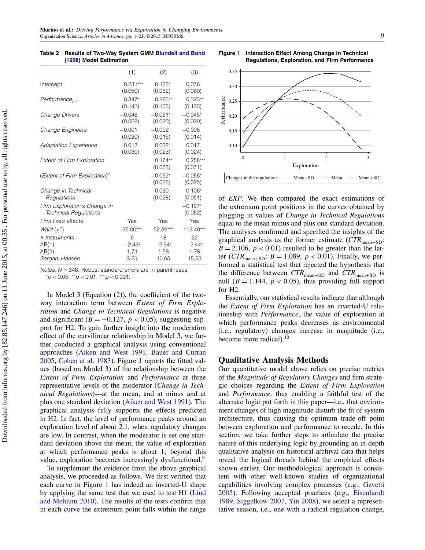|                                                                     | (1)        | (2)                  | (3)                   |
|---------------------------------------------------------------------|------------|----------------------|-----------------------|
| Intercept                                                           | $0.231***$ | $0.133*$             | 0.076                 |
|                                                                     | (0.050)    | (0.052)              | (0.060)               |
| $Pertormance_{t-1}$                                                 | $0.347*$   | $0.285**$            | $0.323**$             |
|                                                                     | (0.143)    | (0.105)              | (0.103)               |
| Change Drivers                                                      | $-0.046$   | $-0.051*$            | $-0.045*$             |
|                                                                     | (0.028)    | (0.020)              | (0.020)               |
| Change Engineers                                                    | $-0.001$   | $-0.002$             | $-0.008$              |
|                                                                     | (0.020)    | (0.015)              | (0.014)               |
| <b>Adaptation Experience</b>                                        | 0.013      | 0.032                | 0.017                 |
|                                                                     | (0.030)    | (0.023)              | (0.024)               |
| <b>Extent of Firm Exploration</b>                                   |            | $0.174**$<br>(0.063) | $0.258***$<br>(0.071) |
| (Extent of Firm Exploration) <sup>2</sup>                           |            | $-0.052*$<br>(0.025) | $-0.056*$<br>(0.025)  |
| Change in Technical                                                 |            | 0.030                | $0.106*$              |
| Regulations                                                         |            | (0.028)              | (0.051)               |
| Firm Exploration $\times$ Change in<br><b>Technical Regulations</b> |            |                      | $-0.127*$<br>(0.052)  |
| Firm fixed effects                                                  | Yes        | Yes                  | Yes                   |
| Wald $(\chi^2)$                                                     | $35.00***$ | 52.39***             | 112.40***             |
| # Instruments                                                       | 6          | 18                   | 22                    |
| AR(1)                                                               | $-2.43*$   | $-2.34*$             | $-2.44*$              |
| AR(2)                                                               | 1.71       | 1.58                 | 1.78                  |
| Sargan-Hansen                                                       | 3.53       | 10.65                | 15.53                 |

<span id="page-9-0"></span>Table 2 Results of Two-Way System GMM [Blundell and Bond](#page-19-16) [\(1998\)](#page-19-16) Model Estimation

Notes.  $N = 346$ . Robust standard errors are in parentheses.

 ${}^*p$  < 0.05;  ${}^{**}p$  < 0.01;  ${}^{***}p$  < 0.001.

In Model 3 (Equation [\(2\)](#page-8-1)), the coefficient of the twoway interaction term between Extent of Firm Exploration and Change in Technical Regulations is negative and significant ( $B = -0.127$ ,  $p < 0.05$ ), suggesting support for [H2.](#page-6-0) To gain further insight into the moderation effect of the curvilinear relationship in Model 3, we further conducted a graphical analysis using conventional approaches [\(Aiken and West](#page-19-17) [1991,](#page-19-17) [Bauer and Curran](#page-19-18) [2005,](#page-19-18) [Cohen et al.](#page-20-29) [1983\)](#page-20-29). Figure [1](#page-9-1) reports the fitted values (based on Model 3) of the relationship between the Extent of Firm Exploration and Performance at three representative levels of the moderator (Change in Technical Regulations)—at the mean, and at minus and at plus one standard deviation [\(Aiken and West](#page-19-17) [1991\)](#page-19-17). The graphical analysis fully supports the effects predicted in [H2.](#page-6-0) In fact, the level of performance peaks around an exploration level of about 2.1, when regulatory changes are low. In contrast, when the moderator is set one standard deviation above the mean, the value of exploration at which performance peaks is about 1; beyond this value, exploration becomes increasingly dysfunctional.<sup>9</sup>

To supplement the evidence from the above graphical analysis, we proceeded as follows. We first verified that each curve in Figure [1](#page-9-1) has indeed an inverted-U shape by applying the same test that we used to test [H1](#page-5-0) [\(Lind](#page-20-28) [and Mehlum](#page-20-28) [2010\)](#page-20-28). The results of the tests confirm that in each curve the extremum point falls within the range



<span id="page-9-1"></span>Figure 1 Interaction Effect Among Change in Technical

of EXP. We then compared the exact estimations of the extremum point positions in the curves obtained by plugging in values of Change in Technical Regulations equal to the mean minus and plus one standard deviation. The analyses confirmed and specified the insights of the graphical analysis as the former estimate  $(CTR_{mean-SD}:$  $B = 2.106$ ,  $p < 0.01$ ) resulted to be greater than the latter ( $CTR_{mean+SD}$ :  $B = 1.089$ ,  $p < 0.01$ ). Finally, we performed a statistical test that rejected the hypothesis that the difference between  $CTR_{mean-SD}$  and  $CTR_{mean+SD}$  is null ( $B = 1.144$ ,  $p < 0.05$ ), thus providing full support for [H2.](#page-6-0)

Essentially, our statistical results indicate that although the Extent of Firm Exploration has an inverted-U relationship with Performance, the value of exploration at which performance peaks decreases as environmental (i.e., regulatory) changes increase in magnitude (i.e., become more radical).<sup>10</sup>

### Qualitative Analysis Methods

Our quantitative model above relies on precise metrics of the Magnitude of Regulatory Changes and firm strategic choices regarding the Extent of Firm Exploration and Performance, thus enabling a faithful test of the alternate logic put forth in this paper—i.e., that environment changes of high magnitude disturb the fit of system architecture, thus causing the optimum trade-off point between exploration and performance to recede. In this section, we take further steps to articulate the precise nature of this underlying logic by grounding an in-depth qualitative analysis on historical archival data that helps reveal the logical threads behind the empirical effects shown earlier. Our methodological approach is consistent with other well-known studies of organizational capabilities involving complex processes (e.g., [Gavetti](#page-20-30) [2005\)](#page-20-30). Following accepted practices (e.g., [Eisenhardt](#page-20-31) [1989,](#page-20-31) [Siggelkow](#page-21-27) [2007,](#page-21-27) [Yin](#page-21-28) [2008\)](#page-21-28), we select a representative season, i.e., one with a radical regulation change,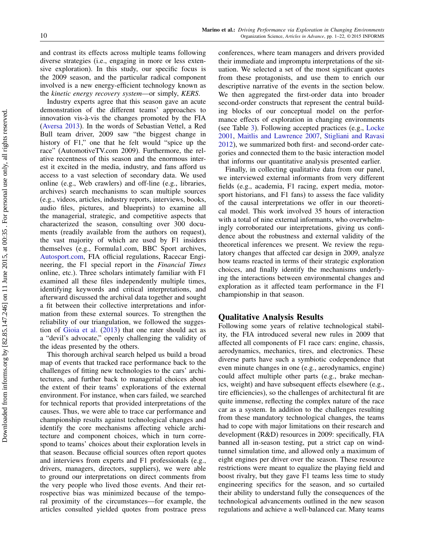and contrast its effects across multiple teams following diverse strategies (i.e., engaging in more or less extensive exploration). In this study, our specific focus is the 2009 season, and the particular radical component involved is a new energy-efficient technology known as the kinetic energy recovery system—or simply, KERS.

Industry experts agree that this season gave an acute demonstration of the different teams' approaches to innovation vis-à-vis the changes promoted by the FIA [\(Aversa](#page-19-19) [2013\)](#page-19-19). In the words of Sebastian Vettel, a Red Bull team driver, 2009 saw "the biggest change in history of F1," one that he felt would "spice up the race" (AutomotiveTV.com 2009). Furthermore, the relative recentness of this season and the enormous interest it excited in the media, industry, and fans afford us access to a vast selection of secondary data. We used online (e.g., Web crawlers) and off-line (e.g., libraries, archives) search mechanisms to scan multiple sources (e.g., videos, articles, industry reports, interviews, books, audio files, pictures, and blueprints) to examine all the managerial, strategic, and competitive aspects that characterized the season, consulting over 300 documents (readily available from the authors on request), the vast majority of which are used by F1 insiders themselves (e.g., Formula1.com, BBC Sport archives, [Autosport.com,](Autosport.com) FIA official regulations, Racecar Engineering, the F1 special report in the Financial Times online, etc.). Three scholars intimately familiar with F1 examined all these files independently multiple times, identifying keywords and critical interpretations, and afterward discussed the archival data together and sought a fit between their collective interpretations and information from these external sources. To strengthen the reliability of our triangulation, we followed the suggestion of [Gioia et al.](#page-20-32) [\(2013\)](#page-20-32) that one rater should act as a "devil's advocate," openly challenging the validity of the ideas presented by the others.

This thorough archival search helped us build a broad map of events that tracked race performance back to the challenges of fitting new technologies to the cars' architectures, and further back to managerial choices about the extent of their teams' explorations of the external environment. For instance, when cars failed, we searched for technical reports that provided interpretations of the causes. Thus, we were able to trace car performance and championship results against technological changes and identify the core mechanisms affecting vehicle architecture and component choices, which in turn correspond to teams' choices about their exploration levels in that season. Because official sources often report quotes and interviews from experts and F1 professionals (e.g., drivers, managers, directors, suppliers), we were able to ground our interpretations on direct comments from the very people who lived those events. And their retrospective bias was minimized because of the temporal proximity of the circumstances—for example, the articles consulted yielded quotes from postrace press

conferences, where team managers and drivers provided their immediate and impromptu interpretations of the situation. We selected a set of the most significant quotes from these protagonists, and use them to enrich our descriptive narrative of the events in the section below. We then aggregated the first-order data into broader second-order constructs that represent the central building blocks of our conceptual model on the performance effects of exploration in changing environments (see Table [3\)](#page-11-0). Following accepted practices (e.g., [Locke](#page-21-29) [2001,](#page-21-29) [Maitlis and Lawrence](#page-21-30) [2007,](#page-21-30) [Stigliani and Ravasi](#page-21-31) [2012\)](#page-21-31), we summarized both first- and second-order categories and connected them to the basic interaction model that informs our quantitative analysis presented earlier.

Finally, in collecting qualitative data from our panel, we interviewed external informants from very different fields (e.g., academia, F1 racing, expert media, motorsport historians, and F1 fans) to assess the face validity of the causal interpretations we offer in our theoretical model. This work involved 35 hours of interaction with a total of nine external informants, who overwhelmingly corroborated our interpretations, giving us confidence about the robustness and external validity of the theoretical inferences we present. We review the regulatory changes that affected car design in 2009, analyze how teams reacted in terms of their strategic exploration choices, and finally identify the mechanisms underlying the interactions between environmental changes and exploration as it affected team performance in the F1 championship in that season.

## Qualitative Analysis Results

Following some years of relative technological stability, the FIA introduced several new rules in 2009 that affected all components of F1 race cars: engine, chassis, aerodynamics, mechanics, tires, and electronics. These diverse parts have such a symbiotic codependence that even minute changes in one (e.g., aerodynamics, engine) could affect multiple other parts (e.g., brake mechanics, weight) and have subsequent effects elsewhere (e.g., tire efficiencies), so the challenges of architectural fit are quite immense, reflecting the complex nature of the race car as a system. In addition to the challenges resulting from these mandatory technological changes, the teams had to cope with major limitations on their research and development (R&D) resources in 2009: specifically, FIA banned all in-season testing, put a strict cap on windtunnel simulation time, and allowed only a maximum of eight engines per driver over the season. These resource restrictions were meant to equalize the playing field and boost rivalry, but they gave F1 teams less time to study engineering specifics for the season, and so curtailed their ability to understand fully the consequences of the technological advancements outlined in the new season regulations and achieve a well-balanced car. Many teams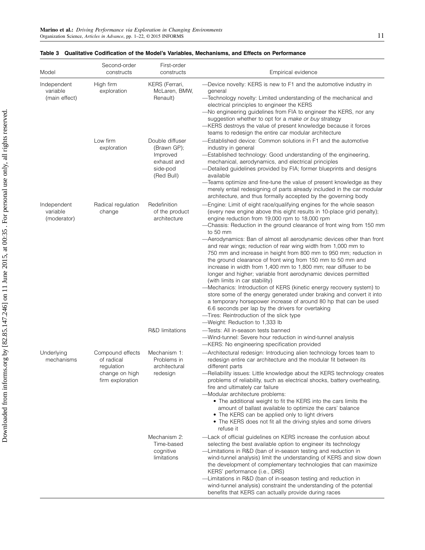| Model                                    | Second-order<br>constructs                                                         | First-order<br>constructs                                                           | Empirical evidence                                                                                                                                                                                                                                                                                                                                                                                                                                                                                                                                                                                                                                                                                                                                                                                                                                                                                                                                                                                                                                                                                 |
|------------------------------------------|------------------------------------------------------------------------------------|-------------------------------------------------------------------------------------|----------------------------------------------------------------------------------------------------------------------------------------------------------------------------------------------------------------------------------------------------------------------------------------------------------------------------------------------------------------------------------------------------------------------------------------------------------------------------------------------------------------------------------------------------------------------------------------------------------------------------------------------------------------------------------------------------------------------------------------------------------------------------------------------------------------------------------------------------------------------------------------------------------------------------------------------------------------------------------------------------------------------------------------------------------------------------------------------------|
| Independent<br>variable<br>(main effect) | High firm<br>exploration                                                           | KERS (Ferrari,<br>McLaren, BMW,<br>Renault)                                         | -Device novelty: KERS is new to F1 and the automotive industry in<br>general<br>-Technology novelty: Limited understanding of the mechanical and<br>electrical principles to engineer the KERS<br>-No engineering guidelines from FIA to engineer the KERS, nor any<br>suggestion whether to opt for a make or buy strategy<br>-KERS destroys the value of present knowledge because it forces<br>teams to redesign the entire car modular architecture                                                                                                                                                                                                                                                                                                                                                                                                                                                                                                                                                                                                                                            |
|                                          | Low firm<br>exploration                                                            | Double diffuser<br>(Brawn GP);<br>Improved<br>exhaust and<br>side-pod<br>(Red Bull) | -Established device: Common solutions in F1 and the automotive<br>industry in general<br>-Established technology: Good understanding of the engineering,<br>mechanical, aerodynamics, and electrical principles<br>-Detailed guidelines provided by FIA; former blueprints and designs<br>available<br>-Teams optimize and fine-tune the value of present knowledge as they<br>merely entail redesigning of parts already included in the car modular<br>architecture, and thus formally accepted by the governing body                                                                                                                                                                                                                                                                                                                                                                                                                                                                                                                                                                            |
| Independent<br>variable<br>(moderator)   | Radical regulation<br>change                                                       | Redefinition<br>of the product<br>architecture                                      | -Engine: Limit of eight race/qualifying engines for the whole season<br>(every new engine above this eight results in 10-place grid penalty);<br>engine reduction from 19,000 rpm to 18,000 rpm<br>-Chassis: Reduction in the ground clearance of front wing from 150 mm<br>to 50 mm<br>-Aerodynamics: Ban of almost all aerodynamic devices other than front<br>and rear wings; reduction of rear wing width from 1,000 mm to<br>750 mm and increase in height from 800 mm to 950 mm; reduction in<br>the ground clearance of front wing from 150 mm to 50 mm and<br>increase in width from 1,400 mm to 1,800 mm; rear diffuser to be<br>longer and higher; variable front aerodynamic devices permitted<br>(with limits in car stability)<br>-Mechanics: Introduction of KERS (kinetic energy recovery system) to<br>store some of the energy generated under braking and convert it into<br>a temporary horsepower increase of around 80 hp that can be used<br>6.6 seconds per lap by the drivers for overtaking<br>-Tires: Reintroduction of the slick type<br>-Weight: Reduction to 1,333 lb |
|                                          |                                                                                    | <b>R&amp;D</b> limitations                                                          | -Tests: All in-season tests banned<br>-Wind-tunnel: Severe hour reduction in wind-tunnel analysis<br>-KERS: No engineering specification provided                                                                                                                                                                                                                                                                                                                                                                                                                                                                                                                                                                                                                                                                                                                                                                                                                                                                                                                                                  |
| Underlying<br>mechanisms                 | Compound effects<br>of radical<br>regulation<br>change on high<br>firm exploration | Mechanism 1:<br>Problems in<br>architectural<br>redesign                            | -Architectural redesign: Introducing alien technology forces team to<br>redesign entire car architecture and the modular fit between its<br>different parts<br>-Reliability issues: Little knowledge about the KERS technology creates<br>problems of reliability, such as electrical shocks, battery overheating,<br>fire and ultimately car failure<br>-Modular architecture problems:<br>• The additional weight to fit the KERS into the cars limits the<br>amount of ballast available to optimize the cars' balance<br>• The KERS can be applied only to light drivers<br>• The KERS does not fit all the driving styles and some drivers<br>refuse it                                                                                                                                                                                                                                                                                                                                                                                                                                       |
|                                          |                                                                                    | Mechanism 2:<br>Time-based<br>cognitive<br>limitations                              | -Lack of official guidelines on KERS increase the confusion about<br>selecting the best available option to engineer its technology<br>-Limitations in R&D (ban of in-season testing and reduction in<br>wind-tunnel analysis) limit the understanding of KERS and slow down<br>the development of complementary technologies that can maximize<br>KERS' performance (i.e., DRS)<br>-Limitations in R&D (ban of in-season testing and reduction in<br>wind-tunnel analysis) constraint the understanding of the potential<br>benefits that KERS can actually provide during races                                                                                                                                                                                                                                                                                                                                                                                                                                                                                                                  |

<span id="page-11-0"></span>

|  |  |  |  |  |  | Table 3 Qualitative Codification of the Model's Variables. Mechanisms, and Effects on Performance |  |  |  |  |
|--|--|--|--|--|--|---------------------------------------------------------------------------------------------------|--|--|--|--|
|--|--|--|--|--|--|---------------------------------------------------------------------------------------------------|--|--|--|--|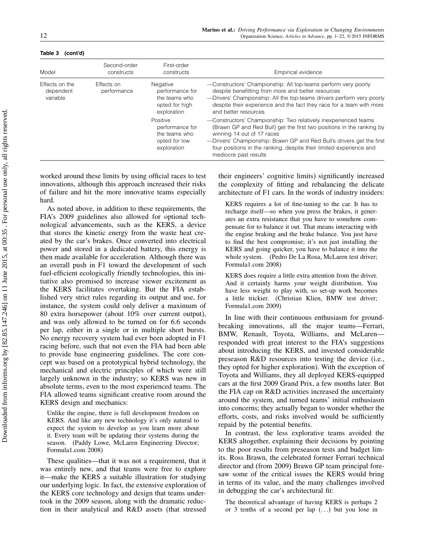| Model                                   | Second-order<br>constructs                                                                                 | First-order<br>constructs                                                    | Empirical evidence                                                                                                                                                                                                                                                                                                                              |  |  |  |  |  |
|-----------------------------------------|------------------------------------------------------------------------------------------------------------|------------------------------------------------------------------------------|-------------------------------------------------------------------------------------------------------------------------------------------------------------------------------------------------------------------------------------------------------------------------------------------------------------------------------------------------|--|--|--|--|--|
| Effects on the<br>dependent<br>variable | Negative<br>Effects on<br>performance for<br>performance<br>the teams who<br>opted for high<br>exploration |                                                                              | -Constructors' Championship: All top-teams perform very poorly<br>despite benefitting from more and better resources<br>-Drivers' Championship: All the top-teams drivers perform very poorly<br>despite their experience and the fact they race for a team with more<br>and better resources                                                   |  |  |  |  |  |
|                                         |                                                                                                            | Positive<br>performance for<br>the teams who<br>opted for low<br>exploration | -Constructors' Championship: Two relatively inexperienced teams<br>(Brawn GP and Red Bull) get the first two positions in the ranking by<br>winning 14 out of 17 races<br>-Drivers' Championship: Brawn GP and Red Bull's drivers get the first<br>four positions in the ranking, despite their limited experience and<br>mediocre past results |  |  |  |  |  |

#### Table 3 (cont'd)

worked around these limits by using official races to test innovations, although this approach increased their risks of failure and hit the more innovative teams especially hard.

As noted above, in addition to these requirements, the FIA's 2009 guidelines also allowed for optional technological advancements, such as the KERS, a device that stores the kinetic energy from the waste heat created by the car's brakes. Once converted into electrical power and stored in a dedicated battery, this energy is then made available for acceleration. Although there was an overall push in F1 toward the development of such fuel-efficient ecologically friendly technologies, this initiative also promised to increase viewer excitement as the KERS facilitates overtaking. But the FIA established very strict rules regarding its output and use, for instance, the system could only deliver a maximum of 80 extra horsepower (about 10% over current output), and was only allowed to be turned on for 6.6 seconds per lap, either in a single or in multiple short bursts. No energy recovery system had ever been adopted in F1 racing before, such that not even the FIA had been able to provide base engineering guidelines. The core concept was based on a prototypical hybrid technology, the mechanical and electric principles of which were still largely unknown in the industry; so KERS was new in absolute terms, even to the most experienced teams. The FIA allowed teams significant creative room around the KERS design and mechanics:

Unlike the engine, there is full development freedom on KERS. And like any new technology it's only natural to expect the system to develop as you learn more about it. Every team will be updating their systems during the season. (Paddy Lowe, McLaren Engineering Director; Formula1.com 2008)

These qualities—that it was not a requirement, that it was entirely new, and that teams were free to explore it—make the KERS a suitable illustration for studying our underlying logic. In fact, the extensive exploration of the KERS core technology and design that teams undertook in the 2009 season, along with the dramatic reduction in their analytical and R&D assets (that stressed their engineers' cognitive limits) significantly increased the complexity of fitting and rebalancing the delicate architecture of F1 cars. In the words of industry insiders:

KERS requires a lot of fine-tuning to the car. It has to recharge itself—so when you press the brakes, it generates an extra resistance that you have to somehow compensate for to balance it out. That means interacting with the engine braking and the brake balance. You just have to find the best compromise; it's not just installing the KERS and going quicker, you have to balance it into the whole system. (Pedro De La Rosa, McLaren test driver; Formula1.com 2008)

KERS does require a little extra attention from the driver. And it certainly harms your weight distribution. You have less weight to play with, so set-up work becomes a little trickier. (Christian Klien, BMW test driver; Formula1.com 2009)

In line with their continuous enthusiasm for groundbreaking innovations, all the major teams—Ferrari, BMW, Renault, Toyota, Williams, and McLaren responded with great interest to the FIA's suggestions about introducing the KERS, and invested considerable preseason R&D resources into testing the device (i.e., they opted for higher exploration). With the exception of Toyota and Williams, they all deployed KERS-equipped cars at the first 2009 Grand Prix, a few months later. But the FIA cap on R&D activities increased the uncertainty around the system, and turned teams' initial enthusiasm into concerns; they actually began to wonder whether the efforts, costs, and risks involved would be sufficiently repaid by the potential benefits.

In contrast, the less explorative teams avoided the KERS altogether, explaining their decisions by pointing to the poor results from preseason tests and budget limits. Ross Brawn, the celebrated former Ferrari technical director and (from 2009) Brawn GP team principal foresaw some of the critical issues the KERS would bring in terms of its value, and the many challenges involved in debugging the car's architectural fit:

The theoretical advantage of having KERS is perhaps 2 or 3 tenths of a second per lap  $($ ...) but you lose in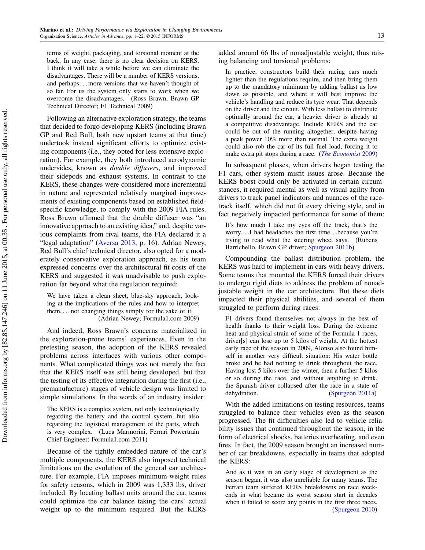terms of weight, packaging, and torsional moment at the back. In any case, there is no clear decision on KERS. I think it will take a while before we can eliminate the disadvantages. There will be a number of KERS versions, and perhaps...more versions that we haven't thought of so far. For us the system only starts to work when we overcome the disadvantages. (Ross Brawn, Brawn GP Technical Director; F1 Technical 2009)

Following an alternative exploration strategy, the teams that decided to forgo developing KERS (including Brawn GP and Red Bull, both new upstart teams at that time) undertook instead significant efforts to optimize existing components (i.e., they opted for less extensive exploration). For example, they both introduced aerodynamic undersides, known as double diffusers, and improved their sidepods and exhaust systems. In contrast to the KERS, these changes were considered more incremental in nature and represented relatively marginal improvements of existing components based on established fieldspecific knowledge, to comply with the 2009 FIA rules. Ross Brawn affirmed that the double diffuser was "an innovative approach to an existing idea," and, despite various complaints from rival teams, the FIA declared it a "legal adaptation" [\(Aversa](#page-19-19) [2013,](#page-19-19) p. 16). Adrian Newey, Red Bull's chief technical director, also opted for a moderately conservative exploration approach, as his team expressed concerns over the architectural fit costs of the KERS and suggested it was unadvisable to push exploration far beyond what the regulation required:

We have taken a clean sheet, blue-sky approach, looking at the implications of the rules and how to interpret them,  $\ldots$  not changing things simply for the sake of it. (Adrian Newey; Formula1.com 2009)

And indeed, Ross Brawn's concerns materialized in the exploration-prone teams' experiences. Even in the pretesting season, the adoption of the KERS revealed problems across interfaces with various other components. What complicated things was not merely the fact that the KERS itself was still being developed, but that the testing of its effective integration during the first (i.e., premanufacture) stages of vehicle design was limited to simple simulations. In the words of an industry insider:

The KERS is a complex system, not only technologically regarding the battery and the control system, but also regarding the logistical management of the parts, which is very complex. (Luca Marmorini, Ferrari Powertrain Chief Engineer; Formula1.com 2011)

Because of the tightly embedded nature of the car's multiple components, the KERS also imposed technical limitations on the evolution of the general car architecture. For example, FIA imposes minimum-weight rules for safety reasons, which in 2009 was 1,333 lbs, driver included. By locating ballast units around the car, teams could optimize the car balance taking the cars' actual weight up to the minimum required. But the KERS added around 66 lbs of nonadjustable weight, thus raising balancing and torsional problems:

In practice, constructors build their racing cars much lighter than the regulations require, and then bring them up to the mandatory minimum by adding ballast as low down as possible, and where it will best improve the vehicle's handling and reduce its tyre wear. That depends on the driver and the circuit. With less ballast to distribute optimally around the car, a heavier driver is already at a competitive disadvantage. Include KERS and the car could be out of the running altogether, despite having a peak power 10% more than normal. The extra weight could also rob the car of its full fuel load, forcing it to make extra pit stops during a race. ([The Economist](#page-20-33) [2009\)](#page-20-33)

In subsequent phases, when drivers began testing the F1 cars, other system misfit issues arose. Because the KERS boost could only be activated in certain circumstances, it required mental as well as visual agility from drivers to track panel indicators and nuances of the racetrack itself, which did not fit every driving style, and in fact negatively impacted performance for some of them:

It's how much I take my eyes off the track, that's the worry....I had headaches the first time...because you're trying to read what the steering wheel says. (Rubens Barrichello, Brawn GP driver; [Spurgeon](#page-21-32) [2011b\)](#page-21-32)

Compounding the ballast distribution problem, the KERS was hard to implement in cars with heavy drivers. Some teams that mounted the KERS forced their drivers to undergo rigid diets to address the problem of nonadjustable weight in the car architecture. But these diets impacted their physical abilities, and several of them struggled to perform during races:

F1 drivers found themselves not always in the best of health thanks to their weight loss. During the extreme heat and physical strain of some of the Formula 1 races, driver[s] can lose up to 5 kilos of weight. At the hottest early race of the season in 2009, Alonso also found himself in another very difficult situation: His water bottle broke and he had nothing to drink throughout the race. Having lost 5 kilos over the winter, then a further 5 kilos or so during the race, and without anything to drink, the Spanish driver collapsed after the race in a state of dehydration. [\(Spurgeon](#page-21-33) [2011a\)](#page-21-33)

With the added limitations on testing resources, teams struggled to balance their vehicles even as the season progressed. The fit difficulties also led to vehicle reliability issues that continued throughout the season, in the form of electrical shocks, batteries overheating, and even fires. In fact, the 2009 season brought an increased number of car breakdowns, especially in teams that adopted the KERS:

And as it was in an early stage of development as the season began, it was also unreliable for many teams. The Ferrari team suffered KERS breakdowns on race weekends in what became its worst season start in decades when it failed to score any points in the first three races. [\(Spurgeon](#page-21-34) [2010\)](#page-21-34)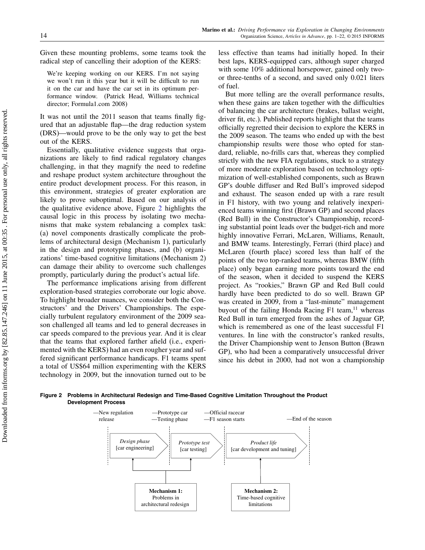Given these mounting problems, some teams took the radical step of cancelling their adoption of the KERS:

We're keeping working on our KERS. I'm not saying we won't run it this year but it will be difficult to run it on the car and have the car set in its optimum performance window. (Patrick Head, Williams technical director; Formula1.com 2008)

It was not until the 2011 season that teams finally figured that an adjustable flap—the drag reduction system (DRS)—would prove to be the only way to get the best out of the KERS.

Essentially, qualitative evidence suggests that organizations are likely to find radical regulatory changes challenging, in that they magnify the need to redefine and reshape product system architecture throughout the entire product development process. For this reason, in this environment, strategies of greater exploration are likely to prove suboptimal. Based on our analysis of the qualitative evidence above, Figure [2](#page-14-0) highlights the causal logic in this process by isolating two mechanisms that make system rebalancing a complex task: (a) novel components drastically complicate the problems of architectural design (Mechanism 1), particularly in the design and prototyping phases, and (b) organizations' time-based cognitive limitations (Mechanism 2) can damage their ability to overcome such challenges promptly, particularly during the product's actual life.

The performance implications arising from different exploration-based strategies corroborate our logic above. To highlight broader nuances, we consider both the Constructors' and the Drivers' Championships. The especially turbulent regulatory environment of the 2009 season challenged all teams and led to general decreases in car speeds compared to the previous year. And it is clear that the teams that explored farther afield (i.e., experimented with the KERS) had an even rougher year and suffered significant performance handicaps. F1 teams spent a total of US\$64 million experimenting with the KERS technology in 2009, but the innovation turned out to be less effective than teams had initially hoped. In their best laps, KERS-equipped cars, although super charged with some 10% additional horsepower, gained only twoor three-tenths of a second, and saved only 0.021 liters of fuel.

But more telling are the overall performance results, when these gains are taken together with the difficulties of balancing the car architecture (brakes, ballast weight, driver fit, etc.). Published reports highlight that the teams officially regretted their decision to explore the KERS in the 2009 season. The teams who ended up with the best championship results were those who opted for standard, reliable, no-frills cars that, whereas they complied strictly with the new FIA regulations, stuck to a strategy of more moderate exploration based on technology optimization of well-established components, such as Brawn GP's double diffuser and Red Bull's improved sidepod and exhaust. The season ended up with a rare result in F1 history, with two young and relatively inexperienced teams winning first (Brawn GP) and second places (Red Bull) in the Constructor's Championship, recording substantial point leads over the budget-rich and more highly innovative Ferrari, McLaren, Williams, Renault, and BMW teams. Interestingly, Ferrari (third place) and McLaren (fourth place) scored less than half of the points of the two top-ranked teams, whereas BMW (fifth place) only began earning more points toward the end of the season, when it decided to suspend the KERS project. As "rookies," Brawn GP and Red Bull could hardly have been predicted to do so well. Brawn GP was created in 2009, from a "last-minute" management buyout of the failing Honda Racing  $F1$  team,<sup>11</sup> whereas Red Bull in turn emerged from the ashes of Jaguar GP, which is remembered as one of the least successful F1 ventures. In line with the constructor's ranked results, the Driver Championship went to Jenson Button (Brawn GP), who had been a comparatively unsuccessful driver since his debut in 2000, had not won a championship

#### <span id="page-14-0"></span>Figure 2 Problems in Architectural Redesign and Time-Based Cognitive Limitation Throughout the Product Development Process

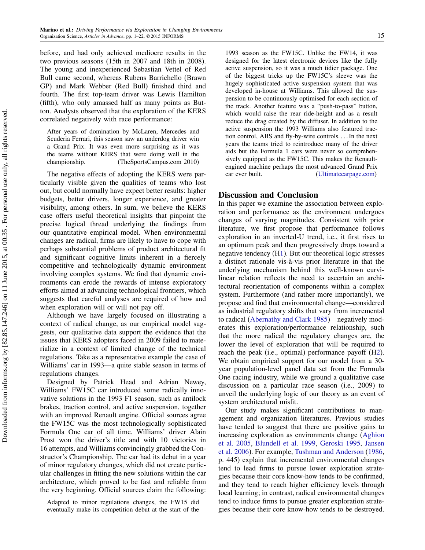before, and had only achieved mediocre results in the two previous seasons (15th in 2007 and 18th in 2008). The young and inexperienced Sebastian Vettel of Red Bull came second, whereas Rubens Barrichello (Brawn GP) and Mark Webber (Red Bull) finished third and fourth. The first top-team driver was Lewis Hamilton (fifth), who only amassed half as many points as Button. Analysts observed that the exploration of the KERS correlated negatively with race performance:

After years of domination by McLaren, Mercedes and Scuderia Ferrari, this season saw an underdog driver win a Grand Prix. It was even more surprising as it was the teams without KERS that were doing well in the championship. (TheSportsCampus.com 2010)

The negative effects of adopting the KERS were particularly visible given the qualities of teams who lost out, but could normally have expect better results: higher budgets, better drivers, longer experience, and greater visibility, among others. In sum, we believe the KERS case offers useful theoretical insights that pinpoint the precise logical thread underlying the findings from our quantitative empirical model. When environmental changes are radical, firms are likely to have to cope with perhaps substantial problems of product architectural fit and significant cognitive limits inherent in a fiercely competitive and technologically dynamic environment involving complex systems. We find that dynamic environments can erode the rewards of intense exploratory efforts aimed at advancing technological frontiers, which suggests that careful analyses are required of how and when exploration will or will not pay off.

Although we have largely focused on illustrating a context of radical change, as our empirical model suggests, our qualitative data support the evidence that the issues that KERS adopters faced in 2009 failed to materialize in a context of limited change of the technical regulations. Take as a representative example the case of Williams' car in 1993—a quite stable season in terms of regulations changes.

Designed by Patrick Head and Adrian Newey, Williams' FW15C car introduced some radically innovative solutions in the 1993 F1 season, such as antilock brakes, traction control, and active suspension, together with an improved Renault engine. Official sources agree the FW15C was the most technologically sophisticated Formula One car of all time. Williams' driver Alain Prost won the driver's title and with 10 victories in 16 attempts, and Williams convincingly grabbed the Constructor's Championship. The car had its debut in a year of minor regulatory changes, which did not create particular challenges in fitting the new solutions within the car architecture, which proved to be fast and reliable from the very beginning. Official sources claim the following:

Adapted to minor regulations changes, the FW15 did eventually make its competition debut at the start of the 1993 season as the FW15C. Unlike the FW14, it was designed for the latest electronic devices like the fully active suspension, so it was a much tidier package. One of the biggest tricks up the FW15C's sleeve was the hugely sophisticated active suspension system that was developed in-house at Williams. This allowed the suspension to be continuously optimised for each section of the track. Another feature was a "push-to-pass" button, which would raise the rear ride-height and as a result reduce the drag created by the diffuser. In addition to the active suspension the 1993 Williams also featured traction control, ABS and fly-by-wire controls.... In the next years the teams tried to reintroduce many of the driver aids but the Formula 1 cars were never so comprehensively equipped as the FW15C. This makes the Renaultengined machine perhaps the most advanced Grand Prix car ever built. [\(Ultimatecarpage.com\)](Ultimatecarpage.com)

## Discussion and Conclusion

In this paper we examine the association between exploration and performance as the environment undergoes changes of varying magnitudes. Consistent with prior literature, we first propose that performance follows exploration in an inverted-U trend, i.e., it first rises to an optimum peak and then progressively drops toward a negative tendency ([H1\)](#page-5-0). But our theoretical logic stresses a distinct rationale vis-à-vis prior literature in that the underlying mechanism behind this well-known curvilinear relation reflects the need to ascertain an architectural reorientation of components within a complex system. Furthermore (and rather more importantly), we propose and find that environmental change—considered as industrial regulatory shifts that vary from incremental to radical [\(Abernathy and Clark](#page-19-4) [1985\)](#page-19-4)—negatively moderates this exploration/performance relationship, such that the more radical the regulatory changes are, the lower the level of exploration that will be required to reach the peak (i.e., optimal) performance payoff ([H2\)](#page-6-0). We obtain empirical support for our model from a 30 year population-level panel data set from the Formula One racing industry, while we ground a qualitative case discussion on a particular race season (i.e., 2009) to unveil the underlying logic of our theory as an event of system architectural misfit.

Our study makes significant contributions to management and organization literatures. Previous studies have tended to suggest that there are positive gains to increasing exploration as environments change [\(Aghion](#page-19-1) [et al.](#page-19-1) [2005,](#page-19-1) [Blundell et al.](#page-19-0) [1999,](#page-19-0) [Geroski](#page-20-2) [1995,](#page-20-2) [Jansen](#page-20-3) [et al.](#page-20-3) [2006\)](#page-20-3). For example, [Tushman and Anderson](#page-21-5) [\(1986,](#page-21-5) p. 445) explain that incremental environmental changes tend to lead firms to pursue lower exploration strategies because their core know-how tends to be confirmed, and they tend to reach higher efficiency levels through local learning; in contrast, radical environmental changes tend to induce firms to pursue greater exploration strategies because their core know-how tends to be destroyed.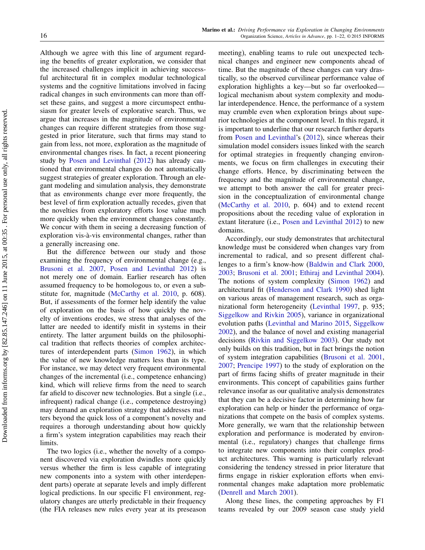Although we agree with this line of argument regarding the benefits of greater exploration, we consider that the increased challenges implicit in achieving successful architectural fit in complex modular technological systems and the cognitive limitations involved in facing radical changes in such environments can more than offset these gains, and suggest a more circumspect enthusiasm for greater levels of explorative search. Thus, we argue that increases in the magnitude of environmental changes can require different strategies from those suggested in prior literature, such that firms may stand to gain from less, not more, exploration as the magnitude of environmental changes rises. In fact, a recent pioneering study by [Posen and Levinthal](#page-21-1) [\(2012\)](#page-21-1) has already cautioned that environmental changes do not automatically suggest strategies of greater exploration. Through an elegant modeling and simulation analysis, they demonstrate that as environments change ever more frequently, the best level of firm exploration actually recedes, given that the novelties from exploratory efforts lose value much more quickly when the environment changes constantly. We concur with them in seeing a decreasing function of exploration vis-à-vis environmental changes, rather than a generally increasing one.

But the difference between our study and those examining the frequency of environmental change (e.g., [Brusoni et al.](#page-20-19) [2007,](#page-20-19) [Posen and Levinthal](#page-21-1) [2012\)](#page-21-1) is not merely one of domain. Earlier research has often assumed frequency to be homologous to, or even a substitute for, magnitude [\(McCarthy et al.](#page-21-9) [2010,](#page-21-9) p. 608). But, if assessments of the former help identify the value of exploration on the basis of how quickly the novelty of inventions erodes, we stress that analyses of the latter are needed to identify misfit in systems in their entirety. The latter argument builds on the philosophical tradition that reflects theories of complex architectures of interdependent parts [\(Simon](#page-21-7) [1962\)](#page-21-7), in which the value of new knowledge matters less than its type. For instance, we may detect very frequent environmental changes of the incremental (i.e., competence enhancing) kind, which will relieve firms from the need to search far afield to discover new technologies. But a single (i.e., infrequent) radical change (i.e., competence destroying) may demand an exploration strategy that addresses matters beyond the quick loss of a component's novelty and requires a thorough understanding about how quickly a firm's system integration capabilities may reach their limits.

The two logics (i.e., whether the novelty of a component discovered via exploration dwindles more quickly versus whether the firm is less capable of integrating new components into a system with other interdependent parts) operate at separate levels and imply different logical predictions. In our specific F1 environment, regulatory changes are utterly predictable in their frequency (the FIA releases new rules every year at its preseason

meeting), enabling teams to rule out unexpected technical changes and engineer new components ahead of time. But the magnitude of these changes can vary drastically, so the observed curvilinear performance value of exploration highlights a key—but so far overlooked logical mechanism about system complexity and modular interdependence. Hence, the performance of a system may crumble even when exploration brings about superior technologies at the component level. In this regard, it is important to underline that our research further departs from [Posen and Levinthal'](#page-21-1)s [\(2012\)](#page-21-1), since whereas their simulation model considers issues linked with the search for optimal strategies in frequently changing environments, we focus on firm challenges in executing their change efforts. Hence, by discriminating between the frequency and the magnitude of environmental change, we attempt to both answer the call for greater precision in the conceptualization of environmental change [\(McCarthy et al.](#page-21-9) [2010,](#page-21-9) p. 604) and to extend recent propositions about the receding value of exploration in extant literature (i.e., [Posen and Levinthal](#page-21-1) [2012\)](#page-21-1) to new domains.

Accordingly, our study demonstrates that architectural knowledge must be considered when changes vary from incremental to radical, and so present different challenges to a firm's know-how [\(Baldwin and Clark](#page-19-20) [2000,](#page-19-20) [2003;](#page-19-21) [Brusoni et al.](#page-20-6) [2001;](#page-20-6) [Ethiraj and Levinthal](#page-20-34) [2004\)](#page-20-34). The notions of system complexity [\(Simon](#page-21-7) [1962\)](#page-21-7) and architectural fit [\(Henderson and Clark](#page-20-5) [1990\)](#page-20-5) shed light on various areas of management research, such as organizational form heterogeneity [\(Levinthal](#page-20-35) [1997,](#page-20-35) p. 935; [Siggelkow and Rivkin](#page-21-35) [2005\)](#page-21-35), variance in organizational evolution paths [\(Levinthal and Marino](#page-20-36) [2015,](#page-20-36) [Siggelkow](#page-21-36) [2002\)](#page-21-36), and the balance of novel and existing managerial decisions [\(Rivkin and Siggelkow](#page-21-37) [2003\)](#page-21-37). Our study not only builds on this tradition, but in fact brings the notion of system integration capabilities [\(Brusoni et al.](#page-20-6) [2001,](#page-20-6) [2007;](#page-20-19) [Prencipe](#page-21-8) [1997\)](#page-21-8) to the study of exploration on the part of firms facing shifts of greater magnitude in their environments. This concept of capabilities gains further relevance insofar as our qualitative analysis demonstrates that they can be a decisive factor in determining how far exploration can help or hinder the performance of organizations that compete on the basis of complex systems. More generally, we warn that the relationship between exploration and performance is moderated by environmental (i.e., regulatory) changes that challenge firms to integrate new components into their complex product architectures. This warning is particularly relevant considering the tendency stressed in prior literature that firms engage in riskier exploration efforts when environmental changes make adaptation more problematic [\(Denrell and March](#page-20-37) [2001\)](#page-20-37).

Along these lines, the competing approaches by F1 teams revealed by our 2009 season case study yield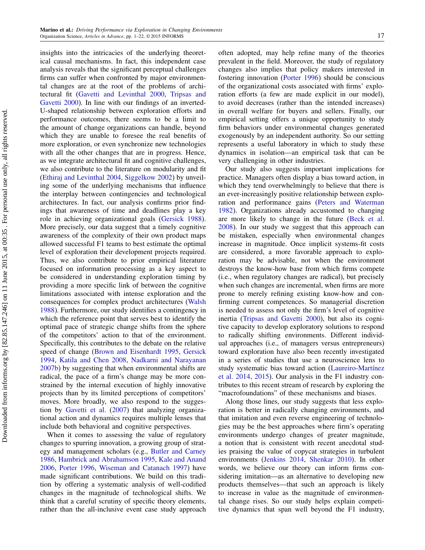insights into the intricacies of the underlying theoretical causal mechanisms. In fact, this independent case analysis reveals that the significant perceptual challenges firms can suffer when confronted by major environmental changes are at the root of the problems of architectural fit [\(Gavetti and Levinthal](#page-20-21) [2000,](#page-20-21) [Tripsas and](#page-21-38) [Gavetti](#page-21-38) [2000\)](#page-21-38). In line with our findings of an inverted-U-shaped relationship between exploration efforts and performance outcomes, there seems to be a limit to the amount of change organizations can handle, beyond which they are unable to foresee the real benefits of more exploration, or even synchronize new technologies with all the other changes that are in progress. Hence, as we integrate architectural fit and cognitive challenges, we also contribute to the literature on modularity and fit [\(Ethiraj and Levinthal](#page-20-34) [2004,](#page-20-34) [Siggelkow](#page-21-36) [2002\)](#page-21-36) by unveiling some of the underlying mechanisms that influence the interplay between contingencies and technological architectures. In fact, our analysis confirms prior findings that awareness of time and deadlines play a key role in achieving organizational goals [\(Gersick](#page-20-38) [1988\)](#page-20-38). More precisely, our data suggest that a timely cognitive awareness of the complexity of their own product maps allowed successful F1 teams to best estimate the optimal level of exploration their development projects required. Thus, we also contribute to prior empirical literature focused on information processing as a key aspect to be considered in understanding exploration timing by providing a more specific link of between the cognitive limitations associated with intense exploration and the consequences for complex product architectures [\(Walsh](#page-21-39) [1988\)](#page-21-39). Furthermore, our study identifies a contingency in which the reference point that serves best to identify the optimal pace of strategic change shifts from the sphere of the competitors' action to that of the environment. Specifically, this contributes to the debate on the relative speed of change [\(Brown and Eisenhardt](#page-19-22) [1995,](#page-19-22) [Gersick](#page-20-39) [1994,](#page-20-39) [Katila and Chen](#page-20-40) [2008,](#page-20-40) [Nadkarni and Narayanan](#page-21-11) [2007b\)](#page-21-11) by suggesting that when environmental shifts are radical, the pace of a firm's change may be more constrained by the internal execution of highly innovative projects than by its limited perceptions of competitors' moves. More broadly, we also respond to the suggestion by [Gavetti et al.](#page-20-41) [\(2007\)](#page-20-41) that analyzing organizational action and dynamics requires multiple lenses that include both behavioral and cognitive perspectives.

When it comes to assessing the value of regulatory changes to spurring innovation, a growing group of strategy and management scholars (e.g., [Butler and Carney](#page-20-42) [1986,](#page-20-42) [Hambrick and Abrahamson](#page-20-16) [1995,](#page-20-16) [Kale and Anand](#page-20-43) [2006,](#page-20-43) [Porter](#page-21-14) [1996,](#page-21-14) [Wiseman and Catanach](#page-21-40) [1997\)](#page-21-40) have made significant contributions. We build on this tradition by offering a systematic analysis of well-codified changes in the magnitude of technological shifts. We think that a careful scrutiny of specific theory elements, rather than the all-inclusive event case study approach often adopted, may help refine many of the theories prevalent in the field. Moreover, the study of regulatory changes also implies that policy makers interested in fostering innovation [\(Porter](#page-21-14) [1996\)](#page-21-14) should be conscious of the organizational costs associated with firms' exploration efforts (a few are made explicit in our model), to avoid decreases (rather than the intended increases) in overall welfare for buyers and sellers. Finally, our empirical setting offers a unique opportunity to study firm behaviors under environmental changes generated exogenously by an independent authority. So our setting represents a useful laboratory in which to study these dynamics in isolation—an empirical task that can be very challenging in other industries.

Our study also suggests important implications for practice. Managers often display a bias toward action, in which they tend overwhelmingly to believe that there is an ever-increasingly positive relationship between exploration and performance gains [\(Peters and Waterman](#page-21-41) [1982\)](#page-21-41). Organizations already accustomed to changing are more likely to change in the future [\(Beck et al.](#page-19-23) [2008\)](#page-19-23). In our study we suggest that this approach can be mistaken, especially when environmental changes increase in magnitude. Once implicit systems-fit costs are considered, a more favorable approach to exploration may be advisable, not when the environment destroys the know-how base from which firms compete (i.e., when regulatory changes are radical), but precisely when such changes are incremental, when firms are more prone to merely refining existing know-how and confirming current competences. So managerial discretion is needed to assess not only the firm's level of cognitive inertia [\(Tripsas and Gavetti](#page-21-38) [2000\)](#page-21-38), but also its cognitive capacity to develop exploratory solutions to respond to radically shifting environments. Different individual approaches (i.e., of managers versus entrepreneurs) toward exploration have also been recently investigated in a series of studies that use a neuroscience lens to study systematic bias toward action [\(Laureiro-Martínez](#page-20-44) [et al.](#page-20-44) [2014,](#page-20-44) [2015\)](#page-20-45). Our analysis in the F1 industry contributes to this recent stream of research by exploring the "macrofoundations" of these mechanisms and biases.

Along those lines, our study suggests that less exploration is better in radically changing environments, and that imitation and even reverse engineering of technologies may be the best approaches where firm's operating environments undergo changes of greater magnitude, a notion that is consistent with recent anecdotal studies praising the value of copycat strategies in turbulent environments [\(Jenkins](#page-20-46) [2014,](#page-20-46) [Shenkar](#page-21-42) [2010\)](#page-21-42). In other words, we believe our theory can inform firms considering imitation—as an alternative to developing new products themselves—that such an approach is likely to increase in value as the magnitude of environmental change rises. So our study helps explain competitive dynamics that span well beyond the F1 industry,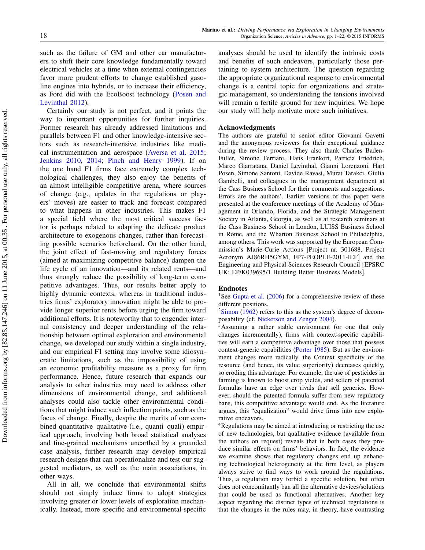such as the failure of GM and other car manufacturers to shift their core knowledge fundamentally toward electrical vehicles at a time when external contingencies favor more prudent efforts to change established gasoline engines into hybrids, or to increase their efficiency, as Ford did with the EcoBoost technology [\(Posen and](#page-21-1) [Levinthal](#page-21-1) [2012\)](#page-21-1).

Certainly our study is not perfect, and it points the way to important opportunities for further inquiries. Former research has already addressed limitations and parallels between F1 and other knowledge-intensive sectors such as research-intensive industries like medical instrumentation and aerospace [\(Aversa et al.](#page-19-11) [2015;](#page-19-11) [Jenkins](#page-20-8) [2010,](#page-20-8) [2014;](#page-20-46) [Pinch and Henry](#page-21-43) [1999\)](#page-21-43). If on the one hand F1 firms face extremely complex technological challenges, they also enjoy the benefits of an almost intelligible competitive arena, where sources of change (e.g., updates in the regulations or players' moves) are easier to track and forecast compared to what happens in other industries. This makes F1 a special field where the most critical success factor is perhaps related to adapting the delicate product architecture to exogenous changes, rather than forecasting possible scenarios beforehand. On the other hand, the joint effect of fast-moving and regulatory forces (aimed at maximizing competitive balance) dampen the life cycle of an innovation—and its related rents—and thus strongly reduce the possibility of long-term competitive advantages. Thus, our results better apply to highly dynamic contexts, whereas in traditional industries firms' exploratory innovation might be able to provide longer superior rents before urging the firm toward additional efforts. It is noteworthy that to engender internal consistency and deeper understanding of the relationship between optimal exploration and environmental change, we developed our study within a single industry, and our empirical F1 setting may involve some idiosyncratic limitations, such as the impossibility of using an economic profitability measure as a proxy for firm performance. Hence, future research that expands our analysis to other industries may need to address other dimensions of environmental change, and additional analyses could also tackle other environmental conditions that might induce such inflection points, such as the focus of change. Finally, despite the merits of our combined quantitative–qualitative (i.e., quanti–quali) empirical approach, involving both broad statistical analyses and fine-grained mechanisms unearthed by a grounded case analysis, further research may develop empirical research designs that can operationalize and test our suggested mediators, as well as the main associations, in other ways.

All in all, we conclude that environmental shifts should not simply induce firms to adopt strategies involving greater or lower levels of exploration mechanically. Instead, more specific and environmental-specific

analyses should be used to identify the intrinsic costs and benefits of such endeavors, particularly those pertaining to system architecture. The question regarding the appropriate organizational response to environmental change is a central topic for organizations and strategic management, so understanding the tensions involved will remain a fertile ground for new inquiries. We hope our study will help motivate more such initiatives.

#### Acknowledgments

The authors are grateful to senior editor Giovanni Gavetti and the anonymous reviewers for their exceptional guidance during the review process. They also thank Charles Baden-Fuller, Simone Ferriani, Hans Frankort, Patricia Friedrich, Marco Giarratana, Daniel Levinthal, Gianni Lorenzoni, Hart Posen, Simone Santoni, Davide Ravasi, Murat Tarakci, Giulia Gambelli, and colleagues in the management department at the Cass Business School for their comments and suggestions. Errors are the authors'. Earlier versions of this paper were presented at the conference meetings of the Academy of Management in Orlando, Florida, and the Strategic Management Society in Atlanta, Georgia, as well as at research seminars at the Cass Business School in London, LUISS Business School in Rome, and the Wharton Business School in Philadelphia, among others. This work was supported by the European Commission's Marie-Curie Actions [Project nr. 301688, Project Acronym AJ86RH5GYM, FP7-PEOPLE-2011-IEF] and the Engineering and Physical Sciences Research Council [EPSRC UK; EP/K039695/1 Building Better Business Models].

#### Endnotes

<sup>1</sup>See [Gupta et al.](#page-20-0)  $(2006)$  for a comprehensive review of these different positions.

 $2$ [Simon](#page-21-7) [\(1962\)](#page-21-7) refers to this as the system's degree of decomposability (cf. [Nickerson and Zenger](#page-21-44) [2004\)](#page-21-44).

<sup>3</sup>Assuming a rather stable environment (or one that only changes incrementally), firms with context-specific capabilities will earn a competitive advantage over those that possess context-generic capabilities [\(Porter](#page-21-45) [1985\)](#page-21-45). But as the environment changes more radically, the Context specificity of the resource (and hence, its value superiority) decreases quickly, so eroding this advantage. For example, the use of pesticides in farming is known to boost crop yields, and sellers of patented formulas have an edge over rivals that sell generics. However, should the patented formula suffer from new regulatory bans, this competitive advantage would end. As the literature argues, this "equalization" would drive firms into new explorative endeavors.

<sup>4</sup>Regulations may be aimed at introducing or restricting the use of new technologies, but qualitative evidence (available from the authors on request) reveals that in both cases they produce similar effects on firms' behaviors. In fact, the evidence we examine shows that regulatory changes end up enhancing technological heterogeneity at the firm level, as players always strive to find ways to work around the regulations. Thus, a regulation may forbid a specific solution, but often does not concomitantly ban all the alternative devices/solutions that could be used as functional alternatives. Another key aspect regarding the distinct types of technical regulations is that the changes in the rules may, in theory, have contrasting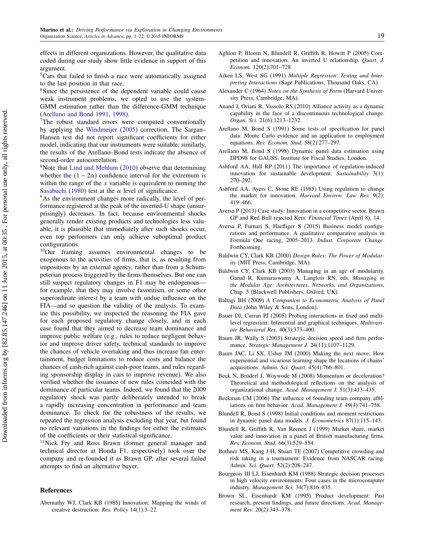effects in different organizations. However, the qualitative data coded during our study show little evidence in support of this argument.

<sup>5</sup>Cars that failed to finish a race were automatically assigned to the last position in that race.

<sup>6</sup>Since the persistence of the dependent variable could cause weak instrument problems, we opted to use the system-GMM estimation rather than the difference-GMM technique [\(Arellano and Bond](#page-19-13) [1991,](#page-19-13) [1998\)](#page-19-14).

<sup>7</sup>The robust standard errors were computed conventionally by applying the [Windmeijer](#page-21-46) [\(2005\)](#page-21-46) correction. The Sargan– Hansen test did not report significant coefficients for either model, indicating that our instruments were suitable; similarly, the results of the Arellano–Bond tests indicate the absence of second-order autocorrelation.

<sup>8</sup>Note that [Lind and Mehlum](#page-20-28) [\(2010\)](#page-20-28) observe that determining whether the  $(1 - 2\alpha)$  confidence interval for the extremum is within the range of the  $x$  variable is equivalent to running the [Sasabuchi](#page-21-47) [\(1980\)](#page-21-47) test at the  $\alpha$  level of significance.

<sup>9</sup>As the environment changes more radically, the level of performance registered at the peak of the inverted-U shape (unsurprisingly) decreases. In fact, because environmental shocks generally render existing products and technologies less valuable, it is plausible that immediately after such shocks occur, even top performers can only achieve suboptimal product configurations.

<sup>10</sup>Our framing assumes environmental changes to be exogenous to the activities of firms, that is, as resulting from impositions by an external agency, rather than from a Schumpeterian process triggered by the firms themselves. But one can still suspect regulatory changes in F1 may be endogenous for example, that they may involve favoritism, or some other superordinate interest by a team with undue influence on the FIA—and so question the validity of the analysis. To examine this possibility, we inspected the reasoning the FIA gave for each proposed regulatory change closely, and in each case found that they aimed to decrease team dominance and improve public welfare (e.g., rules to reduce negligent behavior and improve driver safety, technical standards to improve the chances of vehicle overtaking and thus increase fan entertainment, budget limitations to reduce costs and balance the chances of cash-rich against cash-poor teams, and rules regarding sponsorship display in cars to improve revenue). We also verified whether the issuance of new rules coincided with the dominance of particular teams. Indeed, we found that the 2009 regulatory shock was partly deliberately intended to break a rapidly increasing concentration in performance and team dominance. To check for the robustness of the results, we repeated the regression analysis excluding that year, but found no relevant variations in the findings for either the estimates of the coefficients or their statistical significance.

<sup>11</sup>Nick Fry and Ross Brawn (former general manager and technical director at Honda F1, respectively) took over the company and re-founded it as Brawn GP, after several failed attempts to find an alternative buyer.

#### References

<span id="page-19-4"></span>Abernathy WJ, Clark KB (1985) Innovation: Mapping the winds of creative destruction. Res. Policy 14(1):3–22.

- <span id="page-19-1"></span>Aghion P, Bloom N, Blundell R, Griffith R, Howitt P (2005) Competition and innovation: An inverted U relationship. Quart. J. Econom. 120(2):701–728.
- <span id="page-19-17"></span>Aiken LS, West SG (1991) Multiple Regression: Testing and Interpreting Interactions (Sage Publications, Thousand Oaks, CA).
- <span id="page-19-10"></span>Alexander C (1964) Notes on the Synthesis of Form (Harvard University Press, Cambridge, MA).
- <span id="page-19-5"></span>Anand J, Oriani R, Vassolo RS (2010) Alliance activity as a dynamic capability in the face of a discontinuous technological change. Organ. Sci. 21(6):1213–1232.
- <span id="page-19-13"></span>Arellano M, Bond S (1991) Some tests of specification for panel data: Monte Carlo evidence and an application to employment equations. Rev. Econom. Stud. 58(2):277–297.
- <span id="page-19-14"></span>Arellano M, Bond S (1998) Dynamic panel data estimation using DPD98 for GAUSS. Institute for Fiscal Studies, London.
- <span id="page-19-7"></span>Ashford AA, Hall RP (2011) The importance of regulation-induced innovation for sustainable development. Sustainability 3(1): 270–292.
- <span id="page-19-6"></span>Ashford AA, Ayers C, Stone RE (1985) Using regulation to change the market for innovation. Harvard Environ. Law Rev. 9(2): 419–466.
- <span id="page-19-19"></span>Aversa P (2013) Case study: Innovation in a competitive sector. Brawn GP and Red Bull rejected Kers. Financial Times (April 8), 14.
- <span id="page-19-11"></span>Aversa P, Furnari S, Haefliger S (2015) Business model configurations and performance. A qualitative comparative analysis in Formula One racing, 2005–2013. Indust. Corporate Change. Forthcoming.
- <span id="page-19-20"></span>Baldwin CY, Clark KB (2000) Design Rules: The Power of Modularity (MIT Press, Cambridge, MA).
- <span id="page-19-21"></span>Baldwin CY, Clark KB (2003) Managing in an age of modularity. Garud R, Kumaraswamy A, Langlois RN, eds. Managing in the Modular Age: Architectures, Networks, and Organizations, Chap. 5 (Blackwell Publishers, Oxford, UK).
- <span id="page-19-15"></span>Baltagi BH (2009) A Companion to Econometric Analysis of Panel Data (John Wiley & Sons, London).
- <span id="page-19-18"></span>Bauer DJ, Curran PJ (2005) Probing interactions in fixed and multilevel regression: Inferential and graphical techniques. Multivariate Behavioral Res. 40(3):373–400.
- <span id="page-19-3"></span>Baum JR, Wally S (2003) Strategic decision speed and firm performance. Strategic Management J. 24(11):1107-1129.
- <span id="page-19-8"></span>Baum JAC, Li SX, Usher JM (2000) Making the next move: How experiential and vicarious learning shape the locations of chains' acquisitions. Admin. Sci. Quart. 45(4):766–801.
- <span id="page-19-23"></span>Beck N, Brüderl J, Woywode M (2008) Momentum or deceleration? Theoretical and methodological reflections on the analysis of organizational change. Acad. Management J. 51(3):413–435.
- <span id="page-19-9"></span>Beckman CM (2006) The influence of founding team company affiliations on firm behavior. Acad. Management J. 49(4):741–758.
- <span id="page-19-16"></span>Blundell R, Bond S (1998) Initial conditions and moment restrictions in dynamic panel data models. J. Econometrics 87(1):115–143.
- <span id="page-19-0"></span>Blundell R, Griffith R, Van Reenen J (1999) Market share, market value and innovation in a panel of British manufacturing firms. Rev. Econom. Stud. 66(3):529–554.
- <span id="page-19-12"></span>Bothner MS, Kang J-H, Stuart TE (2007) Competitive crowding and risk taking in a tournament: Evidence from NASCAR racing. Admin. Sci. Quart. 52(2):208–247.
- <span id="page-19-2"></span>Bourgeois III LJ, Eisenhardt KM (1988) Strategic decision processes in high velocity environments: Four cases in the microcomputer industry. Management Sci. 34(7):816–835.
- <span id="page-19-22"></span>Brown SL, Eisenhardt KM (1995) Product development: Past research, present findings, and future directions. Acad. Management Rev. 20(2):343–378.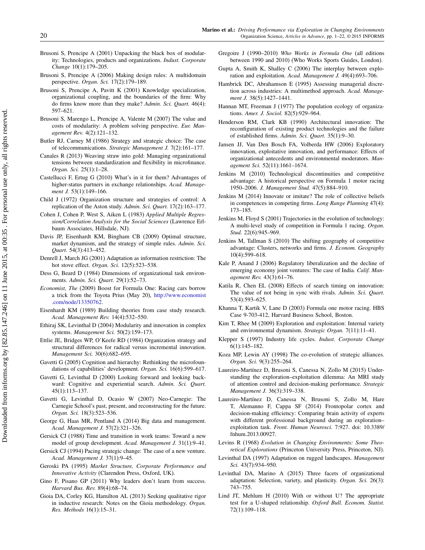- <span id="page-20-18"></span>Brusoni S, Prencipe A (2001) Unpacking the black box of modularity: Technologies, products and organizations. Indust. Corporate Change 10(1):179–205.
- <span id="page-20-20"></span>Brusoni S, Prencipe A (2006) Making design rules: A multidomain perspective. Organ. Sci. 17(2):179–189.
- <span id="page-20-6"></span>Brusoni S, Prencipe A, Pavitt K (2001) Knowledge specialization, organizational coupling, and the boundaries of the firm: Why do firms know more than they make? Admin. Sci. Quart. 46(4): 597–621.
- <span id="page-20-19"></span>Brusoni S, Marengo L, Prencipe A, Valente M (2007) The value and costs of modularity: A problem solving perspective. Eur. Management Rev. 4(2):121–132.
- <span id="page-20-42"></span>Butler RJ, Carney M (1986) Strategy and strategic choice: The case of telecommunications. Strategic Management J. 7(2):161–177.
- <span id="page-20-9"></span>Canales R (2013) Weaving straw into gold: Managing organizational tensions between standardization and flexibility in microfinance. Organ. Sci. 25(1):1–28.
- <span id="page-20-7"></span>Castellucci F, Ertug G (2010) What's in it for them? Advantages of higher-status partners in exchange relationships. Acad. Management J. 53(1):149-166.
- <span id="page-20-12"></span>Child J (1972) Organization structure and strategies of control: A replication of the Aston study. Admin. Sci. Quart. 17(2):163–177.
- <span id="page-20-29"></span>Cohen J, Cohen P, West S, Aiken L (1983) Applied Multiple Regression/Correlation Analysis for the Social Sciences (Lawrence Erlbaum Associates, Hillsdale, NJ).
- <span id="page-20-10"></span>Davis JP, Eisenhardt KM, Bingham CB (2009) Optimal structure, market dynamism, and the strategy of simple rules. Admin. Sci. Quart. 54(3):413–452.
- <span id="page-20-37"></span>Denrell J, March JG (2001) Adaptation as information restriction: The hot stove effect. Organ. Sci. 12(5):523–538.
- <span id="page-20-11"></span>Dess G, Beard D (1984) Dimensions of organizational task environments. Admin. Sci. Quart. 29(1):52–73.
- <span id="page-20-33"></span>Economist, The (2009) Boost for Formula One: Racing cars borrow a trick from the Toyota Prius (May 20), [http://www.economist](http://www.economist.com/node/13350762) [.com/node/13350762.](http://www.economist.com/node/13350762)
- <span id="page-20-31"></span>Eisenhardt KM (1989) Building theories from case study research. Acad. Management Rev. 14(4):532–550.
- <span id="page-20-34"></span>Ethiraj SK, Levinthal D (2004) Modularity and innovation in complex systems. Management Sci. 50(2):159–173.
- <span id="page-20-15"></span>Ettlie JE, Bridges WP, O'Keefe RD (1984) Organization strategy and structural differences for radical versus incremental innovation. Management Sci. 30(6):682–695.
- <span id="page-20-30"></span>Gavetti G (2005) Cognition and hierarchy: Rethinking the microfoundations of capabilities' development. Organ. Sci. 16(6):599–617.
- <span id="page-20-21"></span>Gavetti G, Levinthal D (2000) Looking forward and looking backward: Cognitive and experiential search. Admin. Sci. Quart. 45(1):113–137.
- <span id="page-20-41"></span>Gavetti G, Levinthal D, Ocasio W (2007) Neo-Carnegie: The Carnegie School's past, present, and reconstructing for the future. Organ. Sci. 18(3):523–536.
- <span id="page-20-26"></span>George G, Haas MR, Pentland A (2014) Big data and management. Acad. Management J. 57(2):321–326.
- <span id="page-20-38"></span>Gersick CJ (1988) Time and transition in work teams: Toward a new model of group development. Acad. Management J. 31(1):9–41.
- <span id="page-20-39"></span>Gersick CJ (1994) Pacing strategic change: The case of a new venture. Acad. Management J. 37(1):9–45.
- <span id="page-20-2"></span>Geroski PA (1995) Market Structure, Corporate Performance and Innovative Activity (Clarendon Press, Oxford, UK).
- <span id="page-20-22"></span>Gino F, Pisano GP (2011) Why leaders don't learn from success. Harvard Bus. Rev. 89(4):68–74.
- <span id="page-20-32"></span>Gioia DA, Corley KG, Hamilton AL (2013) Seeking qualitative rigor in inductive research: Notes on the Gioia methodology. Organ. Res. Methods 16(1):15–31.
- <span id="page-20-27"></span>Gregoire J (1990–2010) Who Works in Formula One (all editions between 1990 and 2010) (Who Works Sports Guides, London).
- <span id="page-20-0"></span>Gupta A, Smith K, Shalley C (2006) The interplay between exploration and exploitation. Acad. Management J. 49(4):693–706.
- <span id="page-20-16"></span>Hambrick DC, Abrahamson E (1995) Assessing managerial discretion across industries: A multimethod approach. Acad. Management J. 38(5):1427-1441.
- <span id="page-20-13"></span>Hannan MT, Freeman J (1977) The population ecology of organizations. Amer. J. Sociol. 82(5):929–964.
- <span id="page-20-5"></span>Henderson RM, Clark KB (1990) Architectural innovation: The reconfiguration of existing product technologies and the failure of established firms. Admin. Sci. Quart. 35(1):9–30.
- <span id="page-20-3"></span>Jansen JJ, Van Den Bosch FA, Volberda HW (2006) Exploratory innovation, exploitative innovation, and performance: Effects of organizational antecedents and environmental moderators. Management Sci. 52(11):1661–1674.
- <span id="page-20-8"></span>Jenkins M (2010) Technological discontinuities and competitive advantage: A historical perspective on Formula 1 motor racing 1950–2006. J. Management Stud. 47(5):884–910.
- <span id="page-20-46"></span>Jenkins M (2014) Innovate or imitate? The role of collective beliefs in competences in competing firms. Long Range Planning 47(4): 173–185.
- <span id="page-20-23"></span>Jenkins M, Floyd S (2001) Trajectories in the evolution of technology: A multi-level study of competition in Formula 1 racing. Organ. Stud. 22(6):945–969.
- <span id="page-20-24"></span>Jenkins M, Tallman S (2010) The shifting geography of competitive advantage: Clusters, networks and firms. J. Econom. Geography 10(4):599–618.
- <span id="page-20-43"></span>Kale P, Anand J (2006) Regulatory liberalization and the decline of emerging economy joint ventures: The case of India. Calif. Management Rev. 43(3):61–76.
- <span id="page-20-40"></span>Katila R, Chen EL (2008) Effects of search timing on innovation: The value of not being in sync with rivals. Admin. Sci. Quart. 53(4):593–625.
- <span id="page-20-25"></span>Khanna T, Kartik V, Lane D (2003) Formula one motor racing. HBS Case 9-703-412, Harvard Business School, Boston.
- <span id="page-20-1"></span>Kim T, Rhee M (2009) Exploration and exploitation: Internal variety and environmental dynamism. Strategic Organ. 7(11):11–41.
- <span id="page-20-4"></span>Klepper S (1997) Industry life cycles. Indust. Corporate Change 6(1):145–182.
- <span id="page-20-17"></span>Koza MP, Lewin AY (1998) The co-evolution of strategic alliances. Organ. Sci. 9(3):255–264.
- <span id="page-20-45"></span>Laureiro-Martínez D, Brusoni S, Canessa N, Zollo M (2015) Understanding the exploration–exploitation dilemma: An MRI study of attention control and decision-making performance. Strategic Management J. 36(3):319–338.
- <span id="page-20-44"></span>Laureiro-Martínez D, Canessa N, Brusoni S, Zollo M, Hare T, Alemanno F, Cappa SF (2014) Frontopolar cortex and decision-making efficiency: Comparing brain activity of experts with different professional background during an exploration– exploitation task. Front. Human Neurosci. 7:927. doi: 10.3389/ fnhum.2013.00927.
- <span id="page-20-14"></span>Levins R (1968) Evolution in Changing Environments: Some Theoretical Explorations (Princeton University Press, Princeton, NJ).
- <span id="page-20-35"></span>Levinthal DA (1997) Adaptation on rugged landscapes. Management Sci. 43(7):934–950.
- <span id="page-20-36"></span>Levinthal DA, Marino A (2015) Three facets of organizational adaptation: Selection, variety, and plasticity. Organ. Sci. 26(3): 743–755.
- <span id="page-20-28"></span>Lind JT, Mehlum H (2010) With or without U? The appropriate test for a U-shaped relationship. Oxford Bull. Econom. Statist. 72(1):109–118.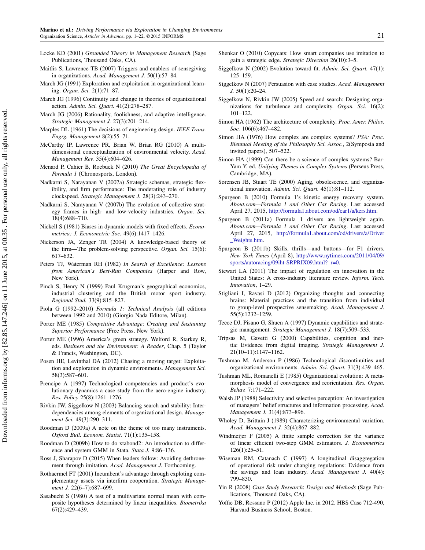- <span id="page-21-29"></span>Locke KD (2001) Grounded Theory in Management Research (Sage Publications, Thousand Oaks, CA).
- <span id="page-21-30"></span>Maitlis S, Lawrence TB (2007) Triggers and enablers of sensegiving in organizations. Acad. Management J. 50(1):57–84.
- <span id="page-21-0"></span>March JG (1991) Exploration and exploitation in organizational learning. Organ. Sci. 2(1):71–87.
- <span id="page-21-16"></span>March JG (1996) Continuity and change in theories of organizational action. Admin. Sci. Quart. 41(2):278–287.
- <span id="page-21-17"></span>March JG (2006) Rationality, foolishness, and adaptive intelligence. Strategic Management J. 27(3):201–214.
- <span id="page-21-18"></span><span id="page-21-9"></span>Marples DL (1961) The decisions of engineering design. IEEE Trans. Engrg. Management 8(2):55–71.
- McCarthy IP, Lawrence PR, Brian W, Brian RG (2010) A multidimensional conceptualization of environmental velocity. Acad. Management Rev. 35(4):604–626.
- <span id="page-21-23"></span>Menard P, Cahier B, Roebuck N (2010) The Great Encyclopedia of Formula 1 (Chronosports, London).
- <span id="page-21-10"></span>Nadkarni S, Narayanan V (2007a) Strategic schemas, strategic flexibility, and firm performance: The moderating role of industry clockspeed. Strategic Management J. 28(3):243–270.
- <span id="page-21-11"></span>Nadkarni S, Narayanan V (2007b) The evolution of collective strategy frames in high- and low-velocity industries. Organ. Sci. 18(4):688–710.
- <span id="page-21-25"></span>Nickell S (1981) Biases in dynamic models with fixed effects. Econometrica: J. Econometric Soc. 49(6):1417–1426.
- <span id="page-21-44"></span>Nickerson JA, Zenger TR (2004) A knowledge-based theory of the firm—The problem-solving perspective. Organ. Sci. 15(6): 617–632.
- <span id="page-21-41"></span>Peters TJ, Waterman RH (1982) In Search of Excellence: Lessons from American's Best-Run Companies (Harper and Row, New York).
- <span id="page-21-43"></span>Pinch S, Henry N (1999) Paul Krugman's geographical economics, industrial clustering and the British motor sport industry. Regional Stud. 33(9):815–827.
- <span id="page-21-22"></span>Piola G (1992–2010) Formula 1: Technical Analysis (all editions between 1992 and 2010) (Giorgio Nada Editore, Milan).
- <span id="page-21-45"></span>Porter ME (1985) Competitive Advantage: Creating and Sustaining Superior Performance (Free Press, New York).
- <span id="page-21-14"></span>Porter ME (1996) America's green strategy. Welford R, Starkey R, eds. Business and the Environment: A Reader, Chap. 5 (Taylor & Francis, Washington, DC).
- <span id="page-21-1"></span>Posen HE, Levinthal DA (2012) Chasing a moving target: Exploitation and exploration in dynamic environments. Management Sci. 58(3):587–601.
- <span id="page-21-8"></span>Prencipe A (1997) Technological competencies and product's evolutionary dynamics a case study from the aero-engine industry. Res. Policy 25(8):1261–1276.
- <span id="page-21-37"></span>Rivkin JW, Siggelkow N (2003) Balancing search and stability: Interdependencies among elements of organizational design. Management Sci. 49(3):290–311.
- <span id="page-21-26"></span>Roodman D (2009a) A note on the theme of too many instruments. Oxford Bull. Econom. Statist. 71(1):135–158.
- <span id="page-21-24"></span>Roodman D (2009b) How to do xtabond2: An introduction to difference and system GMM in Stata. Stata J. 9:86–136.
- <span id="page-21-21"></span>Ross J, Sharapov D (2015) When leaders follow: Avoiding dethronement through imitation. Acad. Management J. Forthcoming.
- <span id="page-21-15"></span>Rothaermel FT (2001) Incumbent's advantage through exploting complementary assets via interfirm cooperation. Strategic Management J. 22(6-7):687-699.
- <span id="page-21-47"></span>Sasabuchi S (1980) A test of a multivariate normal mean with composite hypotheses determined by linear inequalities. Biometrika 67(2):429–439.
- <span id="page-21-42"></span>Shenkar O (2010) Copycats: How smart companies use imitation to gain a strategic edge. Strategic Direction 26(10):3–5.
- <span id="page-21-36"></span>Siggelkow N (2002) Evolution toward fit. Admin. Sci. Quart. 47(1): 125–159.
- <span id="page-21-27"></span>Siggelkow N (2007) Persuasion with case studies. Acad. Management J. 50(1):20–24.
- <span id="page-21-35"></span>Siggelkow N, Rivkin JW (2005) Speed and search: Designing organizations for turbulence and complexity. Organ. Sci. 16(2): 101–122.
- <span id="page-21-7"></span>Simon HA (1962) The architecture of complexity. Proc. Amer. Philos. Soc. 106(6):467-482.
- <span id="page-21-20"></span>Simon HA (1976) How complex are complex systems? PSA: Proc. Biennual Meeting of the Philosophy Sci. Assoc., 2(Symposia and invited papers), 507–522.
- <span id="page-21-19"></span>Simon HA (1999) Can there be a science of complex systems? Bar-Yam Y, ed. Unifying Themes in Complex Systems (Perseus Press, Cambridge, MA).
- <span id="page-21-2"></span>Sørensen JB, Stuart TE (2000) Aging, obsolescence, and organizational innovation. Admin. Sci. Quart. 45(1):81–112.
- <span id="page-21-34"></span>Spurgeon B (2010) Formula 1's kinetic energy recovery system. About.com—Formula 1 and Other Car Racing. Last accessed April 27, 2015, [http://formula1.about.com/od/car1/a/kers.htm.](http://formula1.about.com/od/car1/a/kers.htm)
- <span id="page-21-33"></span>Spurgeon B (2011a) Formula 1 drivers are lightweight again. About.com—Formula 1 and Other Car Racing. Last accessed April 27, 2015, [http://formula1.about.com/od/drivers/a/Driver](http://formula1.about.com/od/drivers/a/Driver_Weights.htm) [\\_Weights.htm.](http://formula1.about.com/od/drivers/a/Driver_Weights.htm)
- <span id="page-21-32"></span>Spurgeon B (2011b) Skills, thrills—and buttons—for F1 drivers. New York Times (April 8), [http://www.nytimes.com/2011/04/09/](http://www.nytimes.com/2011/04/09/sports/autoracing/09iht-SRPRIX09.html?_r=0) [sports/autoracing/09iht-SRPRIX09.html?\\_r=0.](http://www.nytimes.com/2011/04/09/sports/autoracing/09iht-SRPRIX09.html?_r=0)
- <span id="page-21-6"></span>Stewart LA (2011) The impact of regulation on innovation in the United States: A cross-industry literature review. Inform. Tech. Innovation, 1–29.
- <span id="page-21-31"></span>Stigliani I, Ravasi D (2012) Organizing thoughts and connecting brains: Material practices and the transition from individual to group-level prospective sensemaking. Acad. Management J. 55(5):1232–1259.
- <span id="page-21-4"></span>Teece DJ, Pisano G, Shuen A (1997) Dynamic capabilities and strategic management. Strategic Management J. 18(7):509–533.
- <span id="page-21-38"></span>Tripsas M, Gavetti G (2000) Capabilities, cognition and inertia: Evidence from digital imaging. Strategic Management J. 21(10–11):1147–1162.
- <span id="page-21-5"></span>Tushman M, Anderson P (1986) Technological discontinuities and organizational environments. Admin. Sci. Quart. 31(3):439–465.
- <span id="page-21-3"></span>Tushman ML, Romanelli E (1985) Organizational evolution: A metamorphosis model of convergence and reorientation. Res. Organ. Behav. 7:171–222.
- <span id="page-21-39"></span>Walsh JP (1988) Selectivity and selective perception: An investigation of managers' belief structures and information processing. Acad. Management J. 31(4):873–896.
- <span id="page-21-12"></span>Wholey D, Brittain J (1989) Characterizing environmental variation. Acad. Management J. 32(4):867–882.
- <span id="page-21-46"></span>Windmeijer F (2005) A finite sample correction for the variance of linear efficient two-step GMM estimators. J. Econometrics  $126(1) \cdot 25 - 51$
- <span id="page-21-40"></span>Wiseman RM, Catanach C (1997) A longitudinal disaggregation of operational risk under changing regulations: Evidence from the savings and loan industry. Acad. Management J. 40(4): 799–830.
- <span id="page-21-28"></span>Yin R (2008) Case Study Research: Design and Methods (Sage Publications, Thousand Oaks, CA).
- <span id="page-21-13"></span>Yoffie DB, Rossano P (2012) Apple Inc. in 2012. HBS Case 712-490, Harvard Business School, Boston.